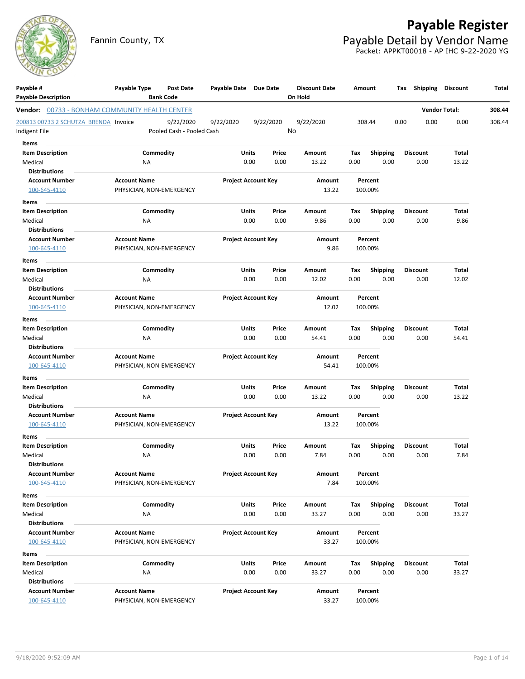

# **Payable Register** Fannin County, TX **Payable Detail by Vendor Name**

Packet: APPKT00018 - AP IHC 9-22-2020 YG

| Payable #<br><b>Payable Description</b>               | Payable Type                                    | Post Date                              | Payable Date Due Date |                            |               | <b>Discount Date</b><br>On Hold | Amount      |                    |      | Tax Shipping            | <b>Discount</b>      | Total  |
|-------------------------------------------------------|-------------------------------------------------|----------------------------------------|-----------------------|----------------------------|---------------|---------------------------------|-------------|--------------------|------|-------------------------|----------------------|--------|
|                                                       |                                                 | <b>Bank Code</b>                       |                       |                            |               |                                 |             |                    |      |                         |                      |        |
| <b>Vendor:</b> 00733 - BONHAM COMMUNITY HEALTH CENTER |                                                 |                                        |                       |                            |               |                                 |             |                    |      |                         | <b>Vendor Total:</b> | 308.44 |
| 200813 00733 2 SCHUTZA BRENDA Invoice                 |                                                 | 9/22/2020<br>Pooled Cash - Pooled Cash | 9/22/2020             | 9/22/2020                  |               | 9/22/2020<br>No                 |             | 308.44             | 0.00 | 0.00                    | 0.00                 | 308.44 |
| Indigent File                                         |                                                 |                                        |                       |                            |               |                                 |             |                    |      |                         |                      |        |
| Items                                                 |                                                 |                                        |                       |                            |               |                                 |             |                    |      |                         |                      |        |
| <b>Item Description</b>                               |                                                 | Commodity                              | Units                 |                            | Price         | Amount                          | Tax         | <b>Shipping</b>    |      | <b>Discount</b>         | Total                |        |
| Medical                                               | NA                                              |                                        |                       | 0.00                       | 0.00          | 13.22                           | 0.00        | 0.00               |      | 0.00                    | 13.22                |        |
| <b>Distributions</b>                                  |                                                 |                                        |                       | <b>Project Account Key</b> |               |                                 |             |                    |      |                         |                      |        |
| <b>Account Number</b><br>100-645-4110                 | <b>Account Name</b><br>PHYSICIAN, NON-EMERGENCY |                                        |                       |                            |               | Amount<br>13.22                 |             | Percent<br>100.00% |      |                         |                      |        |
|                                                       |                                                 |                                        |                       |                            |               |                                 |             |                    |      |                         |                      |        |
| Items                                                 |                                                 |                                        |                       |                            |               |                                 |             |                    |      |                         |                      |        |
| <b>Item Description</b>                               |                                                 | Commodity                              | Units                 |                            | Price         | Amount                          | Tax         | <b>Shipping</b>    |      | <b>Discount</b>         | Total                |        |
| Medical<br><b>Distributions</b>                       | NA                                              |                                        |                       | 0.00                       | 0.00          | 9.86                            | 0.00        | 0.00               |      | 0.00                    | 9.86                 |        |
| <b>Account Number</b>                                 | <b>Account Name</b>                             |                                        |                       | <b>Project Account Key</b> |               | Amount                          |             | Percent            |      |                         |                      |        |
| 100-645-4110                                          | PHYSICIAN, NON-EMERGENCY                        |                                        |                       |                            |               | 9.86                            |             | 100.00%            |      |                         |                      |        |
|                                                       |                                                 |                                        |                       |                            |               |                                 |             |                    |      |                         |                      |        |
| Items                                                 |                                                 |                                        |                       |                            |               |                                 |             |                    |      |                         |                      |        |
| <b>Item Description</b>                               |                                                 | Commodity                              | Units                 |                            | Price         | Amount                          | Tax         | <b>Shipping</b>    |      | <b>Discount</b>         | Total                |        |
| Medical<br><b>Distributions</b>                       | NA                                              |                                        |                       | 0.00                       | 0.00          | 12.02                           | 0.00        | 0.00               |      | 0.00                    | 12.02                |        |
| <b>Account Number</b>                                 | <b>Account Name</b>                             |                                        |                       | <b>Project Account Key</b> |               | Amount                          |             | Percent            |      |                         |                      |        |
| 100-645-4110                                          | PHYSICIAN, NON-EMERGENCY                        |                                        |                       |                            |               | 12.02                           |             | 100.00%            |      |                         |                      |        |
|                                                       |                                                 |                                        |                       |                            |               |                                 |             |                    |      |                         |                      |        |
| Items                                                 |                                                 | Commodity                              |                       |                            |               |                                 |             |                    |      |                         |                      |        |
| <b>Item Description</b><br>Medical                    | NA                                              |                                        | Units                 | 0.00                       | Price<br>0.00 | Amount<br>54.41                 | Tax<br>0.00 | Shipping<br>0.00   |      | <b>Discount</b><br>0.00 | Total<br>54.41       |        |
| <b>Distributions</b>                                  |                                                 |                                        |                       |                            |               |                                 |             |                    |      |                         |                      |        |
| <b>Account Number</b>                                 | <b>Account Name</b>                             |                                        |                       | <b>Project Account Key</b> |               | Amount                          |             | Percent            |      |                         |                      |        |
| 100-645-4110                                          | PHYSICIAN, NON-EMERGENCY                        |                                        |                       |                            |               | 54.41                           |             | 100.00%            |      |                         |                      |        |
| Items                                                 |                                                 |                                        |                       |                            |               |                                 |             |                    |      |                         |                      |        |
| <b>Item Description</b>                               |                                                 | Commodity                              | Units                 |                            | Price         | Amount                          | Tax         | <b>Shipping</b>    |      | <b>Discount</b>         | Total                |        |
| Medical                                               | <b>NA</b>                                       |                                        |                       | 0.00                       | 0.00          | 13.22                           | 0.00        | 0.00               |      | 0.00                    | 13.22                |        |
| <b>Distributions</b>                                  |                                                 |                                        |                       |                            |               |                                 |             |                    |      |                         |                      |        |
| <b>Account Number</b>                                 | <b>Account Name</b>                             |                                        |                       | <b>Project Account Key</b> |               | Amount                          |             | Percent            |      |                         |                      |        |
| 100-645-4110                                          | PHYSICIAN, NON-EMERGENCY                        |                                        |                       |                            |               | 13.22                           |             | 100.00%            |      |                         |                      |        |
| Items                                                 |                                                 |                                        |                       |                            |               |                                 |             |                    |      |                         |                      |        |
| <b>Item Description</b>                               |                                                 | Commodity                              | Units                 |                            | Price         | Amount                          | Tax         | <b>Shipping</b>    |      | <b>Discount</b>         | Total                |        |
| Medical                                               | NA                                              |                                        |                       | 0.00                       | 0.00          | 7.84                            | 0.00        | 0.00               |      | 0.00                    | 7.84                 |        |
| <b>Distributions</b>                                  |                                                 |                                        |                       |                            |               |                                 |             |                    |      |                         |                      |        |
| <b>Account Number</b>                                 | <b>Account Name</b>                             |                                        |                       | <b>Project Account Key</b> |               | Amount                          |             | Percent            |      |                         |                      |        |
| 100-645-4110                                          | PHYSICIAN, NON-EMERGENCY                        |                                        |                       |                            |               | 7.84                            |             | 100.00%            |      |                         |                      |        |
| Items                                                 |                                                 |                                        |                       |                            |               |                                 |             |                    |      |                         |                      |        |
| <b>Item Description</b>                               |                                                 | Commodity                              | Units                 |                            | Price         | Amount                          | Tax         | <b>Shipping</b>    |      | <b>Discount</b>         | Total                |        |
| Medical                                               | NA                                              |                                        |                       | 0.00                       | 0.00          | 33.27                           | 0.00        | 0.00               |      | 0.00                    | 33.27                |        |
| <b>Distributions</b>                                  |                                                 |                                        |                       |                            |               |                                 |             |                    |      |                         |                      |        |
| <b>Account Number</b>                                 | <b>Account Name</b>                             |                                        |                       | <b>Project Account Key</b> |               | Amount                          |             | Percent            |      |                         |                      |        |
| 100-645-4110                                          | PHYSICIAN, NON-EMERGENCY                        |                                        |                       |                            |               | 33.27                           |             | 100.00%            |      |                         |                      |        |
| Items                                                 |                                                 |                                        |                       |                            |               |                                 |             |                    |      |                         |                      |        |
| <b>Item Description</b>                               |                                                 | Commodity                              | Units                 |                            | Price         | Amount                          | Tax         | <b>Shipping</b>    |      | <b>Discount</b>         | Total                |        |
| Medical                                               | NA                                              |                                        |                       | 0.00                       | 0.00          | 33.27                           | 0.00        | 0.00               |      | 0.00                    | 33.27                |        |
| <b>Distributions</b>                                  |                                                 |                                        |                       |                            |               |                                 |             |                    |      |                         |                      |        |
| <b>Account Number</b>                                 | <b>Account Name</b>                             |                                        |                       | <b>Project Account Key</b> |               | Amount                          |             | Percent            |      |                         |                      |        |
| 100-645-4110                                          | PHYSICIAN, NON-EMERGENCY                        |                                        |                       |                            |               | 33.27                           |             | 100.00%            |      |                         |                      |        |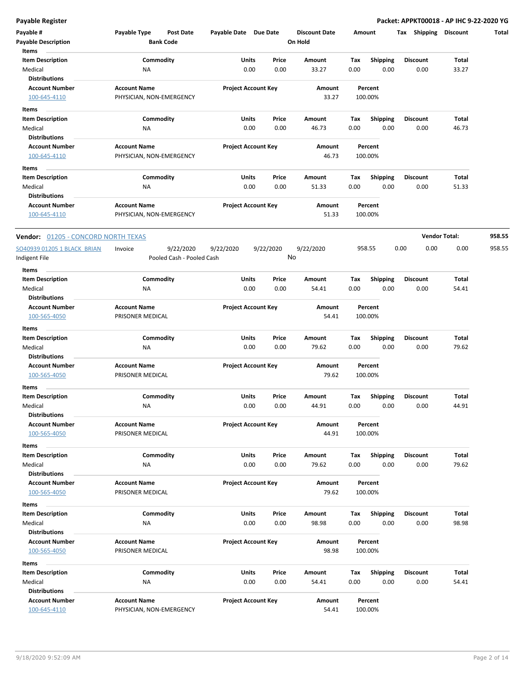**Payable Register Packet: APPKT00018 - AP IHC 9-22-2020 YG**

| Payable #<br><b>Payable Description</b><br>Items                    | Payable Type<br><b>Post Date</b><br><b>Bank Code</b> | Payable Date Due Date      |                 | <b>Discount Date</b><br>On Hold | Amount      |                         | Tax Shipping            | <b>Discount</b>      | Total  |
|---------------------------------------------------------------------|------------------------------------------------------|----------------------------|-----------------|---------------------------------|-------------|-------------------------|-------------------------|----------------------|--------|
| <b>Item Description</b><br>Medical<br><b>Distributions</b>          | Commodity<br>NA                                      | Units<br>0.00              | Price<br>0.00   | Amount<br>33.27                 | Tax<br>0.00 | <b>Shipping</b><br>0.00 | <b>Discount</b><br>0.00 | Total<br>33.27       |        |
| <b>Account Number</b><br>100-645-4110                               | <b>Account Name</b><br>PHYSICIAN, NON-EMERGENCY      | <b>Project Account Key</b> |                 | Amount<br>33.27                 |             | Percent<br>100.00%      |                         |                      |        |
| Items<br><b>Item Description</b><br>Medical                         | Commodity<br>NA                                      | Units<br>0.00              | Price<br>0.00   | Amount<br>46.73                 | Tax<br>0.00 | <b>Shipping</b><br>0.00 | <b>Discount</b><br>0.00 | Total<br>46.73       |        |
| <b>Distributions</b><br><b>Account Number</b><br>100-645-4110       | <b>Account Name</b><br>PHYSICIAN, NON-EMERGENCY      | <b>Project Account Key</b> |                 | Amount<br>46.73                 |             | Percent<br>100.00%      |                         |                      |        |
| Items<br><b>Item Description</b><br>Medical<br><b>Distributions</b> | Commodity<br>NA                                      | <b>Units</b><br>0.00       | Price<br>0.00   | Amount<br>51.33                 | Tax<br>0.00 | <b>Shipping</b><br>0.00 | <b>Discount</b><br>0.00 | Total<br>51.33       |        |
| <b>Account Number</b><br>100-645-4110                               | <b>Account Name</b><br>PHYSICIAN, NON-EMERGENCY      | <b>Project Account Key</b> |                 | Amount<br>51.33                 |             | Percent<br>100.00%      |                         |                      |        |
| <b>Vendor:</b> 01205 - CONCORD NORTH TEXAS                          |                                                      |                            |                 |                                 |             |                         |                         | <b>Vendor Total:</b> | 958.55 |
| SO40939 01205 1 BLACK BRIAN<br>ndigent File                         | Invoice<br>9/22/2020<br>Pooled Cash - Pooled Cash    | 9/22/2020                  | 9/22/2020<br>No | 9/22/2020                       |             | 958.55                  | 0.00<br>0.00            | 0.00                 | 958.55 |
| Items<br><b>Item Description</b>                                    | Commodity                                            | Units                      | Price           | Amount                          | Tax         | <b>Shipping</b>         | <b>Discount</b>         | Total                |        |
| Medical<br><b>Distributions</b>                                     | NA                                                   | 0.00                       | 0.00            | 54.41                           | 0.00        | 0.00                    | 0.00                    | 54.41                |        |
| <b>Account Number</b><br>100-565-4050                               | <b>Account Name</b><br>PRISONER MEDICAL              | <b>Project Account Key</b> |                 | Amount<br>54.41                 |             | Percent<br>100.00%      |                         |                      |        |
| Items<br><b>Item Description</b><br>Medical<br><b>Distributions</b> | Commodity<br>NA                                      | Units<br>0.00              | Price<br>0.00   | Amount<br>79.62                 | Tax<br>0.00 | Shipping<br>0.00        | <b>Discount</b><br>0.00 | Total<br>79.62       |        |
| <b>Account Number</b><br>100-565-4050                               | <b>Account Name</b><br>PRISONER MEDICAL              | <b>Project Account Key</b> |                 | Amount<br>79.62                 |             | Percent<br>100.00%      |                         |                      |        |
| Items<br><b>Item Description</b><br>Medical                         | Commodity<br>NA                                      | Units<br>0.00              | Price<br>0.00   | Amount<br>44.91                 | Tax<br>0.00 | <b>Shipping</b><br>0.00 | <b>Discount</b><br>0.00 | Total<br>44.91       |        |
| <b>Distributions</b><br><b>Account Number</b><br>100-565-4050       | <b>Account Name</b><br>PRISONER MEDICAL              | <b>Project Account Key</b> |                 | Amount<br>44.91                 |             | Percent<br>100.00%      |                         |                      |        |
| Items<br><b>Item Description</b><br>Medical                         | Commodity<br>NA                                      | <b>Units</b><br>0.00       | Price<br>0.00   | Amount<br>79.62                 | Tax<br>0.00 | <b>Shipping</b><br>0.00 | <b>Discount</b><br>0.00 | Total<br>79.62       |        |
| <b>Distributions</b><br><b>Account Number</b><br>100-565-4050       | <b>Account Name</b><br>PRISONER MEDICAL              | <b>Project Account Key</b> |                 | Amount<br>79.62                 |             | Percent<br>100.00%      |                         |                      |        |
| Items<br><b>Item Description</b><br>Medical                         | Commodity<br>NA                                      | <b>Units</b><br>0.00       | Price<br>0.00   | Amount<br>98.98                 | Tax<br>0.00 | Shipping<br>0.00        | <b>Discount</b><br>0.00 | Total<br>98.98       |        |
| <b>Distributions</b><br><b>Account Number</b><br>100-565-4050       | <b>Account Name</b><br>PRISONER MEDICAL              | <b>Project Account Key</b> |                 | Amount<br>98.98                 |             | Percent<br>100.00%      |                         |                      |        |
| Items<br><b>Item Description</b><br>Medical<br><b>Distributions</b> | Commodity<br>NA                                      | <b>Units</b><br>0.00       | Price<br>0.00   | Amount<br>54.41                 | Tax<br>0.00 | <b>Shipping</b><br>0.00 | <b>Discount</b><br>0.00 | Total<br>54.41       |        |
| <b>Account Number</b><br>100-645-4110                               | <b>Account Name</b><br>PHYSICIAN, NON-EMERGENCY      | <b>Project Account Key</b> |                 | Amount<br>54.41                 |             | Percent<br>100.00%      |                         |                      |        |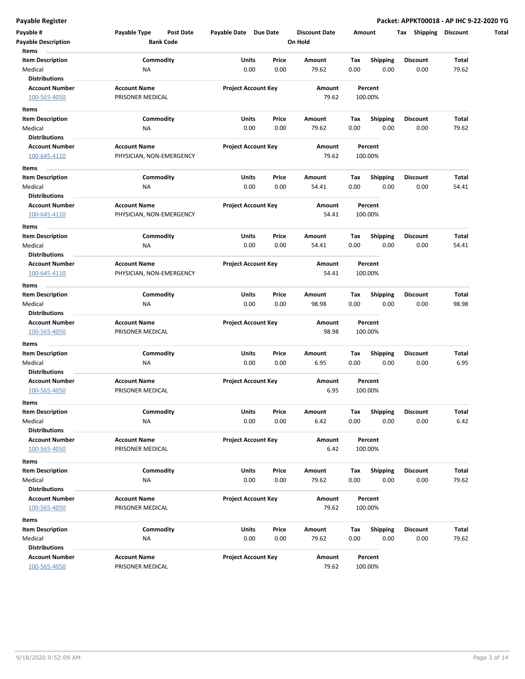| Payable #<br><b>Payable Description</b> | Payable Type<br>Post Date<br><b>Bank Code</b> | Payable Date Due Date      |               | <b>Discount Date</b><br>On Hold | Amount      |                  | Тах                     | <b>Shipping Discount</b> |
|-----------------------------------------|-----------------------------------------------|----------------------------|---------------|---------------------------------|-------------|------------------|-------------------------|--------------------------|
| Items                                   |                                               |                            |               |                                 |             |                  |                         |                          |
| <b>Item Description</b><br>Medical      | Commodity<br>ΝA                               | Units<br>0.00              | Price<br>0.00 | Amount<br>79.62                 | Tax<br>0.00 | Shipping<br>0.00 | <b>Discount</b><br>0.00 | Total<br>79.62           |
| <b>Distributions</b>                    |                                               |                            |               |                                 |             |                  |                         |                          |
| <b>Account Number</b>                   | <b>Account Name</b>                           | <b>Project Account Key</b> |               | Amount                          |             | Percent          |                         |                          |
| 100-565-4050                            | PRISONER MEDICAL                              |                            |               | 79.62                           |             | 100.00%          |                         |                          |
|                                         |                                               |                            |               |                                 |             |                  |                         |                          |
| Items                                   |                                               |                            |               |                                 |             |                  |                         |                          |
| <b>Item Description</b>                 | Commodity                                     | Units                      | Price         | Amount                          | Tax         | <b>Shipping</b>  | <b>Discount</b>         | Total                    |
| Medical                                 | NA                                            | 0.00                       | 0.00          | 79.62                           | 0.00        | 0.00             | 0.00                    | 79.62                    |
| <b>Distributions</b>                    |                                               |                            |               |                                 |             |                  |                         |                          |
| <b>Account Number</b>                   | <b>Account Name</b>                           | <b>Project Account Key</b> |               | Amount                          |             | Percent          |                         |                          |
| 100-645-4110                            | PHYSICIAN, NON-EMERGENCY                      |                            |               | 79.62                           |             | 100.00%          |                         |                          |
| Items                                   |                                               |                            |               |                                 |             |                  |                         |                          |
| <b>Item Description</b>                 | Commodity                                     | Units                      | Price         | Amount                          | Tax         | <b>Shipping</b>  | <b>Discount</b>         | Total                    |
| Medical                                 | <b>NA</b>                                     | 0.00                       | 0.00          | 54.41                           | 0.00        | 0.00             | 0.00                    | 54.41                    |
| <b>Distributions</b>                    |                                               |                            |               |                                 |             |                  |                         |                          |
| <b>Account Number</b>                   | <b>Account Name</b>                           | <b>Project Account Key</b> |               | Amount                          |             | Percent          |                         |                          |
| 100-645-4110                            | PHYSICIAN, NON-EMERGENCY                      |                            |               | 54.41                           |             | 100.00%          |                         |                          |
| Items                                   |                                               |                            |               |                                 |             |                  |                         |                          |
| <b>Item Description</b>                 | Commodity                                     | Units                      | Price         | Amount                          | Tax         | <b>Shipping</b>  | Discount                | Total                    |
| Medical                                 | NA                                            | 0.00                       | 0.00          | 54.41                           | 0.00        | 0.00             | 0.00                    | 54.41                    |
| <b>Distributions</b>                    |                                               |                            |               |                                 |             |                  |                         |                          |
| <b>Account Number</b>                   | <b>Account Name</b>                           | <b>Project Account Key</b> |               | Amount                          |             | Percent          |                         |                          |
| 100-645-4110                            | PHYSICIAN, NON-EMERGENCY                      |                            |               | 54.41                           |             | 100.00%          |                         |                          |
| Items                                   |                                               |                            |               |                                 |             |                  |                         |                          |
| <b>Item Description</b>                 | Commodity                                     | Units                      | Price         | Amount                          | Tax         | <b>Shipping</b>  | <b>Discount</b>         | Total                    |
| Medical                                 | <b>NA</b>                                     | 0.00                       | 0.00          | 98.98                           | 0.00        | 0.00             | 0.00                    | 98.98                    |
| <b>Distributions</b>                    |                                               |                            |               |                                 |             |                  |                         |                          |
| <b>Account Number</b>                   | <b>Account Name</b>                           | <b>Project Account Key</b> |               | Amount                          |             | Percent          |                         |                          |
| 100-565-4050                            | PRISONER MEDICAL                              |                            |               | 98.98                           |             | 100.00%          |                         |                          |
| Items                                   |                                               |                            |               |                                 |             |                  |                         |                          |
| <b>Item Description</b>                 | Commodity                                     | Units                      | Price         | Amount                          | Тах         | <b>Shipping</b>  | <b>Discount</b>         | Total                    |
| Medical                                 | <b>NA</b>                                     | 0.00                       | 0.00          | 6.95                            | 0.00        | 0.00             | 0.00                    | 6.95                     |
| <b>Distributions</b>                    |                                               |                            |               |                                 |             |                  |                         |                          |
| <b>Account Number</b>                   | <b>Account Name</b>                           | <b>Project Account Key</b> |               | Amount                          |             | Percent          |                         |                          |
| 100-565-4050                            | PRISONER MEDICAL                              |                            |               | 6.95                            |             | 100.00%          |                         |                          |
|                                         |                                               |                            |               |                                 |             |                  |                         |                          |
| Items                                   |                                               |                            |               |                                 |             |                  |                         |                          |
| Item Description                        | Commodity                                     | Units                      | Price         | Amount                          | Tax         | Shipping         | Discount                | Total                    |
| Medical                                 | NA                                            | 0.00                       | 0.00          | 6.42                            | 0.00        | 0.00             | 0.00                    | 6.42                     |
| <b>Distributions</b>                    |                                               |                            |               |                                 |             |                  |                         |                          |
| <b>Account Number</b>                   | <b>Account Name</b>                           | <b>Project Account Key</b> |               | Amount                          |             | Percent          |                         |                          |
| 100-565-4050                            | PRISONER MEDICAL                              |                            |               | 6.42                            |             | 100.00%          |                         |                          |
| Items                                   |                                               |                            |               |                                 |             |                  |                         |                          |
| <b>Item Description</b>                 | Commodity                                     | Units                      | Price         | Amount                          | Tax         | <b>Shipping</b>  | <b>Discount</b>         | Total                    |
| Medical                                 | <b>NA</b>                                     | 0.00                       | 0.00          | 79.62                           | 0.00        | 0.00             | 0.00                    | 79.62                    |
| <b>Distributions</b>                    |                                               |                            |               |                                 |             |                  |                         |                          |
| <b>Account Number</b>                   | <b>Account Name</b>                           | <b>Project Account Key</b> |               | Amount                          |             | Percent          |                         |                          |
| 100-565-4050                            | PRISONER MEDICAL                              |                            |               | 79.62                           |             | 100.00%          |                         |                          |
| Items                                   |                                               |                            |               |                                 |             |                  |                         |                          |
| <b>Item Description</b>                 | Commodity                                     | Units                      | Price         | Amount                          | Tax         | Shipping         | <b>Discount</b>         | Total                    |
| Medical                                 | NA                                            | 0.00                       | 0.00          | 79.62                           | 0.00        | 0.00             | 0.00                    | 79.62                    |
| <b>Distributions</b>                    |                                               |                            |               |                                 |             |                  |                         |                          |
| <b>Account Number</b>                   | <b>Account Name</b>                           | <b>Project Account Key</b> |               | Amount                          |             | Percent          |                         |                          |
| 100-565-4050                            | PRISONER MEDICAL                              |                            |               | 79.62                           |             | 100.00%          |                         |                          |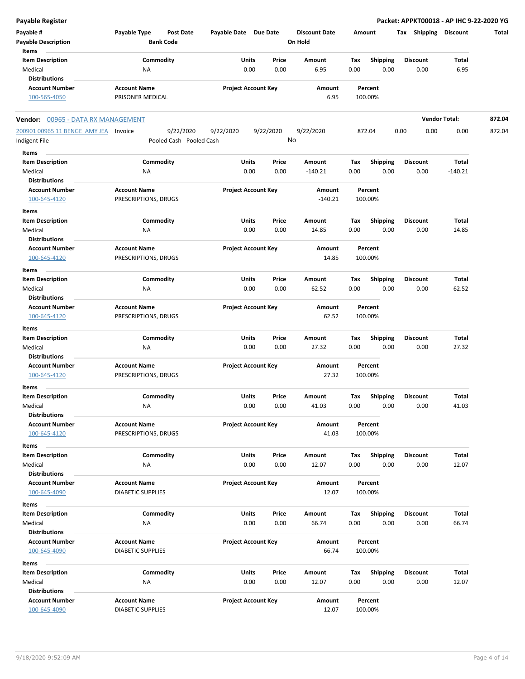|  |  | Payable Register |
|--|--|------------------|

**Payable Register Packet: APPKT00018 - AP IHC 9-22-2020 YG**

| <b>Payable Register</b>                                |                                                             |                            |           |                                 |        |                 |                 |                      |                       | Packet: APPKT00018 - AP IHC 9-22-2020 YG |
|--------------------------------------------------------|-------------------------------------------------------------|----------------------------|-----------|---------------------------------|--------|-----------------|-----------------|----------------------|-----------------------|------------------------------------------|
| Payable #<br><b>Payable Description</b>                | <b>Payable Type</b><br><b>Post Date</b><br><b>Bank Code</b> | Payable Date Due Date      |           | <b>Discount Date</b><br>On Hold | Amount |                 |                 |                      | Tax Shipping Discount | Total                                    |
| Items<br><b>Item Description</b>                       | Commodity                                                   | Units                      | Price     | Amount                          | Tax    | <b>Shipping</b> | <b>Discount</b> |                      | Total                 |                                          |
| Medical                                                | NA                                                          | 0.00                       | 0.00      | 6.95                            | 0.00   | 0.00            |                 | 0.00                 | 6.95                  |                                          |
| <b>Distributions</b>                                   |                                                             |                            |           |                                 |        |                 |                 |                      |                       |                                          |
| <b>Account Number</b>                                  | <b>Account Name</b>                                         | <b>Project Account Key</b> |           | Amount                          |        | Percent         |                 |                      |                       |                                          |
| 100-565-4050                                           | PRISONER MEDICAL                                            |                            |           | 6.95                            |        | 100.00%         |                 |                      |                       |                                          |
| Vendor: 00965 - DATA RX MANAGEMENT                     |                                                             |                            |           |                                 |        |                 |                 | <b>Vendor Total:</b> |                       | 872.04                                   |
| 200901 00965 11 BENGE AMY JEA Invoice<br>Indigent File | 9/22/2020<br>Pooled Cash - Pooled Cash                      | 9/22/2020                  | 9/22/2020 | 9/22/2020<br>No                 |        | 872.04          | 0.00            | 0.00                 | 0.00                  | 872.04                                   |
| Items                                                  |                                                             |                            |           |                                 |        |                 |                 |                      |                       |                                          |
| <b>Item Description</b>                                | Commodity                                                   | Units                      | Price     | Amount                          | Tax    | <b>Shipping</b> | Discount        |                      | Total                 |                                          |
| Medical                                                | NA                                                          | 0.00                       | 0.00      | $-140.21$                       | 0.00   | 0.00            |                 | 0.00                 | $-140.21$             |                                          |
| <b>Distributions</b>                                   |                                                             |                            |           |                                 |        |                 |                 |                      |                       |                                          |
| <b>Account Number</b>                                  | <b>Account Name</b>                                         | <b>Project Account Key</b> |           | Amount                          |        | Percent         |                 |                      |                       |                                          |
| 100-645-4120                                           | PRESCRIPTIONS, DRUGS                                        |                            |           | $-140.21$                       |        | 100.00%         |                 |                      |                       |                                          |
| Items                                                  |                                                             |                            |           |                                 |        |                 |                 |                      |                       |                                          |
| <b>Item Description</b>                                | Commodity                                                   | Units                      | Price     | Amount                          | Tax    | <b>Shipping</b> | Discount        |                      | Total                 |                                          |
| Medical                                                | ΝA                                                          | 0.00                       | 0.00      | 14.85                           | 0.00   | 0.00            |                 | 0.00                 | 14.85                 |                                          |
| <b>Distributions</b>                                   |                                                             |                            |           |                                 |        |                 |                 |                      |                       |                                          |
| <b>Account Number</b>                                  | <b>Account Name</b>                                         | <b>Project Account Key</b> |           | Amount                          |        | Percent         |                 |                      |                       |                                          |
| 100-645-4120                                           | PRESCRIPTIONS, DRUGS                                        |                            |           | 14.85                           |        | 100.00%         |                 |                      |                       |                                          |
| Items                                                  |                                                             |                            |           |                                 |        |                 |                 |                      |                       |                                          |
| <b>Item Description</b>                                | Commodity                                                   | Units                      | Price     | Amount                          | Tax    | <b>Shipping</b> | Discount        |                      | Total                 |                                          |
| Medical                                                | <b>NA</b>                                                   | 0.00                       | 0.00      | 62.52                           | 0.00   | 0.00            |                 | 0.00                 | 62.52                 |                                          |
| <b>Distributions</b>                                   |                                                             |                            |           |                                 |        |                 |                 |                      |                       |                                          |
| <b>Account Number</b>                                  | <b>Account Name</b>                                         | <b>Project Account Key</b> |           | Amount                          |        | Percent         |                 |                      |                       |                                          |
| 100-645-4120                                           | PRESCRIPTIONS, DRUGS                                        |                            |           | 62.52                           |        | 100.00%         |                 |                      |                       |                                          |
| Items                                                  |                                                             |                            |           |                                 |        |                 |                 |                      |                       |                                          |
| <b>Item Description</b>                                | Commodity                                                   | Units                      | Price     | Amount                          | Tax    | <b>Shipping</b> | Discount        |                      | Total                 |                                          |
| Medical                                                | ΝA                                                          | 0.00                       | 0.00      | 27.32                           | 0.00   | 0.00            |                 | 0.00                 | 27.32                 |                                          |
| <b>Distributions</b>                                   |                                                             |                            |           |                                 |        |                 |                 |                      |                       |                                          |
| <b>Account Number</b>                                  | <b>Account Name</b>                                         | <b>Project Account Key</b> |           | Amount                          |        | Percent         |                 |                      |                       |                                          |
| 100-645-4120                                           | PRESCRIPTIONS, DRUGS                                        |                            |           | 27.32                           |        | 100.00%         |                 |                      |                       |                                          |
| Items                                                  |                                                             |                            |           |                                 |        |                 |                 |                      |                       |                                          |
| <b>Item Description</b>                                | Commodity                                                   | Units                      | Price     | Amount                          | Tax    | <b>Shipping</b> | <b>Discount</b> |                      | Total                 |                                          |
| Medical                                                | <b>NA</b>                                                   | 0.00                       | 0.00      | 41.03                           | 0.00   | 0.00            |                 | 0.00                 | 41.03                 |                                          |
| <b>Distributions</b>                                   |                                                             |                            |           |                                 |        |                 |                 |                      |                       |                                          |
| <b>Account Number</b>                                  | <b>Account Name</b>                                         | <b>Project Account Key</b> |           | Amount                          |        | Percent         |                 |                      |                       |                                          |
| 100-645-4120                                           | PRESCRIPTIONS, DRUGS                                        |                            |           | 41.03                           |        | 100.00%         |                 |                      |                       |                                          |
| Items                                                  |                                                             |                            |           |                                 |        |                 |                 |                      |                       |                                          |
| <b>Item Description</b>                                | Commodity                                                   | Units                      | Price     | Amount                          | Tax    | Shipping        | Discount        |                      | Total                 |                                          |
| Medical                                                | NA                                                          | 0.00                       | 0.00      | 12.07                           | 0.00   | 0.00            |                 | 0.00                 | 12.07                 |                                          |
| <b>Distributions</b>                                   |                                                             |                            |           |                                 |        |                 |                 |                      |                       |                                          |
| <b>Account Number</b>                                  | <b>Account Name</b>                                         | <b>Project Account Key</b> |           | Amount                          |        | Percent         |                 |                      |                       |                                          |
| 100-645-4090                                           | <b>DIABETIC SUPPLIES</b>                                    |                            |           | 12.07                           |        | 100.00%         |                 |                      |                       |                                          |
| Items                                                  |                                                             |                            |           |                                 |        |                 |                 |                      |                       |                                          |
| <b>Item Description</b>                                | Commodity                                                   | Units                      | Price     | Amount                          | Tax    | <b>Shipping</b> | <b>Discount</b> |                      | Total                 |                                          |
| Medical                                                | NA                                                          | 0.00                       | 0.00      | 66.74                           | 0.00   | 0.00            |                 | 0.00                 | 66.74                 |                                          |
| <b>Distributions</b>                                   |                                                             |                            |           |                                 |        |                 |                 |                      |                       |                                          |
| <b>Account Number</b>                                  | <b>Account Name</b>                                         | <b>Project Account Key</b> |           | Amount                          |        | Percent         |                 |                      |                       |                                          |
| 100-645-4090                                           | <b>DIABETIC SUPPLIES</b>                                    |                            |           | 66.74                           |        | 100.00%         |                 |                      |                       |                                          |
| Items                                                  |                                                             |                            |           |                                 |        |                 |                 |                      |                       |                                          |
| <b>Item Description</b>                                | Commodity                                                   | Units                      | Price     | Amount                          | Tax    | Shipping        | Discount        |                      | Total                 |                                          |
| Medical                                                | NA                                                          | 0.00                       | 0.00      | 12.07                           | 0.00   | 0.00            |                 | 0.00                 | 12.07                 |                                          |
| <b>Distributions</b>                                   |                                                             |                            |           |                                 |        |                 |                 |                      |                       |                                          |
| <b>Account Number</b>                                  | <b>Account Name</b>                                         | <b>Project Account Key</b> |           | Amount                          |        | Percent         |                 |                      |                       |                                          |
| 100-645-4090                                           | <b>DIABETIC SUPPLIES</b>                                    |                            |           | 12.07                           |        | 100.00%         |                 |                      |                       |                                          |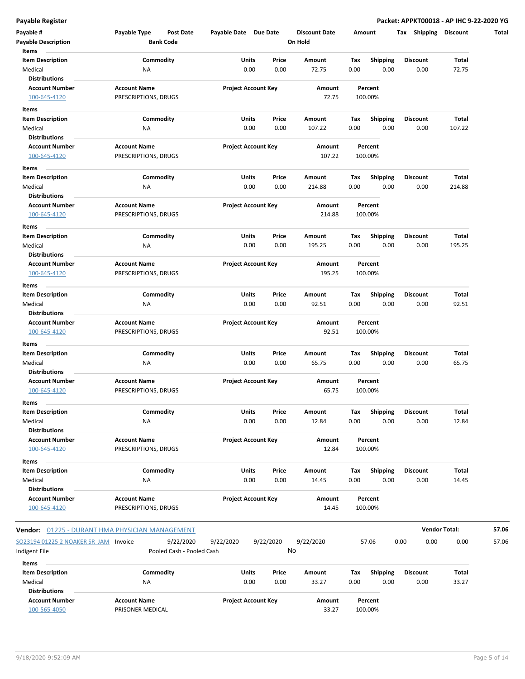| Payable #<br><b>Payable Description</b>                       | Payable Type                                | Post Date<br><b>Bank Code</b>          | Payable Date Due Date |                            | <b>Discount Date</b><br>On Hold |             | Amount                  | Tax Shipping Discount   |                      | Total |
|---------------------------------------------------------------|---------------------------------------------|----------------------------------------|-----------------------|----------------------------|---------------------------------|-------------|-------------------------|-------------------------|----------------------|-------|
| Items<br><b>Item Description</b><br>Medical                   | NA                                          | Commodity                              | Units                 | Price<br>0.00<br>0.00      | Amount<br>72.75                 | Tax<br>0.00 | <b>Shipping</b><br>0.00 | <b>Discount</b><br>0.00 | Total<br>72.75       |       |
| <b>Distributions</b><br><b>Account Number</b><br>100-645-4120 | <b>Account Name</b><br>PRESCRIPTIONS, DRUGS |                                        |                       | <b>Project Account Key</b> | Amount<br>72.75                 |             | Percent<br>100.00%      |                         |                      |       |
| Items                                                         |                                             |                                        |                       |                            |                                 |             |                         |                         |                      |       |
| <b>Item Description</b>                                       |                                             | Commodity                              | Units                 | Price                      | Amount                          | Tax         | <b>Shipping</b>         | Discount                | Total                |       |
| Medical<br><b>Distributions</b>                               | NA                                          |                                        |                       | 0.00<br>0.00               | 107.22                          | 0.00        | 0.00                    | 0.00                    | 107.22               |       |
| <b>Account Number</b><br>100-645-4120                         | <b>Account Name</b><br>PRESCRIPTIONS, DRUGS |                                        |                       | <b>Project Account Key</b> | Amount<br>107.22                |             | Percent<br>100.00%      |                         |                      |       |
| Items                                                         |                                             |                                        |                       |                            |                                 |             |                         |                         |                      |       |
| <b>Item Description</b><br>Medical                            | NA                                          | Commodity                              | Units                 | Price<br>0.00<br>0.00      | Amount<br>214.88                | Тах<br>0.00 | <b>Shipping</b><br>0.00 | <b>Discount</b><br>0.00 | Total<br>214.88      |       |
| <b>Distributions</b><br><b>Account Number</b>                 | <b>Account Name</b>                         |                                        |                       | <b>Project Account Key</b> | Amount                          |             | Percent                 |                         |                      |       |
| 100-645-4120                                                  | PRESCRIPTIONS, DRUGS                        |                                        |                       |                            | 214.88                          |             | 100.00%                 |                         |                      |       |
| Items<br><b>Item Description</b>                              |                                             | Commodity                              | Units                 | Price                      | Amount                          | Tax         | <b>Shipping</b>         | <b>Discount</b>         | Total                |       |
| Medical<br><b>Distributions</b>                               | NA                                          |                                        |                       | 0.00<br>0.00               | 195.25                          | 0.00        | 0.00                    | 0.00                    | 195.25               |       |
| <b>Account Number</b>                                         | <b>Account Name</b>                         |                                        |                       | <b>Project Account Key</b> | Amount                          |             | Percent                 |                         |                      |       |
| 100-645-4120                                                  | PRESCRIPTIONS, DRUGS                        |                                        |                       |                            | 195.25                          |             | 100.00%                 |                         |                      |       |
| Items                                                         |                                             |                                        |                       |                            |                                 |             |                         |                         |                      |       |
| <b>Item Description</b><br>Medical                            |                                             | Commodity                              | Units                 | Price<br>0.00<br>0.00      | Amount<br>92.51                 | Тах<br>0.00 | <b>Shipping</b><br>0.00 | <b>Discount</b><br>0.00 | Total                |       |
| <b>Distributions</b>                                          | NA                                          |                                        |                       |                            |                                 |             |                         |                         | 92.51                |       |
| <b>Account Number</b><br>100-645-4120                         | <b>Account Name</b><br>PRESCRIPTIONS, DRUGS |                                        |                       | <b>Project Account Key</b> | Amount<br>92.51                 |             | Percent<br>100.00%      |                         |                      |       |
| Items<br><b>Item Description</b>                              |                                             | Commodity                              | Units                 | Price                      | Amount                          | Tax         | <b>Shipping</b>         | <b>Discount</b>         | Total                |       |
| Medical                                                       | <b>NA</b>                                   |                                        |                       | 0.00<br>0.00               | 65.75                           | 0.00        | 0.00                    | 0.00                    | 65.75                |       |
| <b>Distributions</b><br><b>Account Number</b><br>100-645-4120 | <b>Account Name</b><br>PRESCRIPTIONS, DRUGS |                                        |                       | <b>Project Account Key</b> | Amount<br>65.75                 |             | Percent<br>100.00%      |                         |                      |       |
| Items<br><b>Item Description</b>                              |                                             | Commodity                              | Units                 | Price                      | Amount                          | Tax         | <b>Shipping</b>         | Discount                | Total                |       |
| Medical<br><b>Distributions</b>                               | NA                                          |                                        |                       | 0.00<br>0.00               | 12.84                           | 0.00        | 0.00                    | 0.00                    | 12.84                |       |
| <b>Account Number</b><br>100-645-4120                         | <b>Account Name</b><br>PRESCRIPTIONS, DRUGS |                                        |                       | <b>Project Account Key</b> | Amount<br>12.84                 |             | Percent<br>100.00%      |                         |                      |       |
| Items                                                         |                                             |                                        |                       |                            |                                 |             |                         |                         |                      |       |
| <b>Item Description</b>                                       |                                             | Commodity                              | Units                 | Price                      | Amount                          | Тах         | <b>Shipping</b>         | <b>Discount</b>         | Total                |       |
| Medical<br><b>Distributions</b>                               | NA                                          |                                        |                       | 0.00<br>0.00               | 14.45                           | 0.00        | 0.00                    | 0.00                    | 14.45                |       |
| <b>Account Number</b><br>100-645-4120                         | <b>Account Name</b><br>PRESCRIPTIONS, DRUGS |                                        |                       | <b>Project Account Key</b> | Amount<br>14.45                 |             | Percent<br>100.00%      |                         |                      |       |
| Vendor: 01225 - DURANT HMA PHYSICIAN MANAGEMENT               |                                             |                                        |                       |                            |                                 |             |                         |                         | <b>Vendor Total:</b> | 57.06 |
| SO23194 01225 2 NOAKER SR JAM Invoice<br>Indigent File        |                                             | 9/22/2020<br>Pooled Cash - Pooled Cash | 9/22/2020             | 9/22/2020                  | 9/22/2020<br>No                 |             | 57.06                   | 0.00<br>0.00            | 0.00                 | 57.06 |
| Items                                                         |                                             |                                        |                       |                            |                                 |             |                         |                         |                      |       |
| <b>Item Description</b>                                       |                                             | Commodity                              | Units                 | Price                      | Amount                          | Тах         | <b>Shipping</b>         | <b>Discount</b>         | Total                |       |
| Medical<br><b>Distributions</b>                               | NA                                          |                                        |                       | 0.00<br>0.00               | 33.27                           | 0.00        | 0.00                    | 0.00                    | 33.27                |       |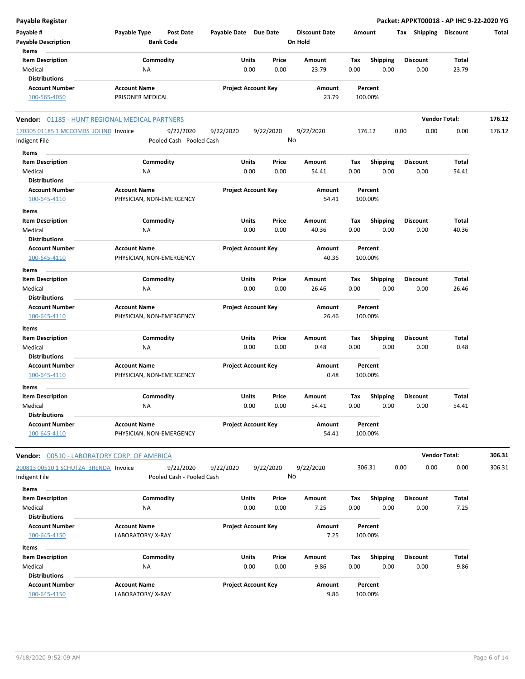| Payable Register                                      |                                  |                       |                            |                      |        |                 | Packet: APPKT00018 - AP IHC 9-22-2020 YG |                      |        |
|-------------------------------------------------------|----------------------------------|-----------------------|----------------------------|----------------------|--------|-----------------|------------------------------------------|----------------------|--------|
| Payable #                                             | Payable Type<br><b>Post Date</b> | Payable Date Due Date |                            | <b>Discount Date</b> | Amount |                 | Tax Shipping                             | <b>Discount</b>      | Total  |
| <b>Payable Description</b>                            | <b>Bank Code</b>                 |                       |                            | On Hold              |        |                 |                                          |                      |        |
| Items                                                 |                                  |                       |                            |                      |        |                 |                                          |                      |        |
| <b>Item Description</b>                               | Commodity                        |                       | Units<br>Price             | Amount               | Tax    | <b>Shipping</b> | <b>Discount</b>                          | Total                |        |
| Medical                                               | <b>NA</b>                        |                       | 0.00<br>0.00               | 23.79                | 0.00   | 0.00            | 0.00                                     | 23.79                |        |
| <b>Distributions</b>                                  |                                  |                       |                            |                      |        |                 |                                          |                      |        |
| <b>Account Number</b>                                 | <b>Account Name</b>              |                       | <b>Project Account Key</b> | Amount               |        | Percent         |                                          |                      |        |
| 100-565-4050                                          | PRISONER MEDICAL                 |                       |                            | 23.79                |        | 100.00%         |                                          |                      |        |
| <b>Vendor:</b> 01185 - HUNT REGIONAL MEDICAL PARTNERS |                                  |                       |                            |                      |        |                 |                                          | <b>Vendor Total:</b> | 176.12 |
| 170305 01185 1 MCCOMBS JOLIND Invoice                 | 9/22/2020                        | 9/22/2020             | 9/22/2020                  | 9/22/2020            |        | 176.12          | 0.00<br>0.00                             | 0.00                 | 176.12 |
| Indigent File                                         | Pooled Cash - Pooled Cash        |                       |                            | No                   |        |                 |                                          |                      |        |
| Items                                                 |                                  |                       |                            |                      |        |                 |                                          |                      |        |
| <b>Item Description</b>                               | Commodity                        |                       | Units<br>Price             | Amount               | Тах    | <b>Shipping</b> | <b>Discount</b>                          | Total                |        |
| Medical                                               | <b>NA</b>                        |                       | 0.00<br>0.00               | 54.41                | 0.00   | 0.00            | 0.00                                     | 54.41                |        |
| <b>Distributions</b>                                  |                                  |                       |                            |                      |        |                 |                                          |                      |        |
| <b>Account Number</b>                                 | <b>Account Name</b>              |                       | <b>Project Account Key</b> | Amount               |        | Percent         |                                          |                      |        |
| 100-645-4110                                          | PHYSICIAN, NON-EMERGENCY         |                       |                            | 54.41                |        | 100.00%         |                                          |                      |        |
| <b>Items</b>                                          |                                  |                       |                            |                      |        |                 |                                          |                      |        |
| <b>Item Description</b>                               | Commodity                        |                       | Units<br>Price             | Amount               | Tax    | <b>Shipping</b> | <b>Discount</b>                          | Total                |        |
| Medical                                               | <b>NA</b>                        |                       | 0.00<br>0.00               | 40.36                | 0.00   | 0.00            | 0.00                                     | 40.36                |        |
| <b>Distributions</b>                                  |                                  |                       |                            |                      |        |                 |                                          |                      |        |
| <b>Account Number</b>                                 | <b>Account Name</b>              |                       | <b>Project Account Key</b> | Amount               |        | Percent         |                                          |                      |        |
| 100-645-4110                                          | PHYSICIAN, NON-EMERGENCY         |                       |                            | 40.36                |        | 100.00%         |                                          |                      |        |
| Items                                                 |                                  |                       |                            |                      |        |                 |                                          |                      |        |
| <b>Item Description</b>                               | Commodity                        |                       | Units<br>Price             | Amount               | Tax    | <b>Shipping</b> | <b>Discount</b>                          | Total                |        |
| Medical                                               | NA                               |                       | 0.00<br>0.00               | 26.46                | 0.00   | 0.00            | 0.00                                     | 26.46                |        |
| <b>Distributions</b>                                  |                                  |                       |                            |                      |        |                 |                                          |                      |        |
| <b>Account Number</b>                                 | <b>Account Name</b>              |                       | <b>Project Account Key</b> | Amount               |        | Percent         |                                          |                      |        |
| 100-645-4110                                          | PHYSICIAN, NON-EMERGENCY         |                       |                            | 26.46                |        | 100.00%         |                                          |                      |        |
| Items                                                 |                                  |                       |                            |                      |        |                 |                                          |                      |        |
| <b>Item Description</b>                               | Commodity                        |                       | Price<br>Units             | Amount               | Tax    | <b>Shipping</b> | <b>Discount</b>                          | Total                |        |
| Medical                                               | <b>NA</b>                        |                       | 0.00<br>0.00               | 0.48                 | 0.00   | 0.00            | 0.00                                     | 0.48                 |        |
| <b>Distributions</b>                                  |                                  |                       |                            |                      |        |                 |                                          |                      |        |
| <b>Account Number</b>                                 | <b>Account Name</b>              |                       | <b>Project Account Key</b> | Amount               |        | Percent         |                                          |                      |        |
| 100-645-4110                                          | PHYSICIAN, NON-EMERGENCY         |                       |                            | 0.48                 |        | 100.00%         |                                          |                      |        |
| Items                                                 |                                  |                       |                            |                      |        |                 |                                          |                      |        |
| <b>Item Description</b>                               | Commodity                        |                       | Units<br>Price             | Amount               | Тах    | <b>Shipping</b> | <b>Discount</b>                          | Total                |        |
| Medical                                               | <b>NA</b>                        |                       | 0.00<br>0.00               | 54.41                | 0.00   | 0.00            | 0.00                                     | 54.41                |        |
| <b>Distributions</b>                                  |                                  |                       |                            |                      |        |                 |                                          |                      |        |
| <b>Account Number</b>                                 | <b>Account Name</b>              |                       | <b>Project Account Key</b> | Amount               |        | Percent         |                                          |                      |        |
| 100-645-4110                                          | PHYSICIAN, NON-EMERGENCY         |                       |                            | 54.41                |        | 100.00%         |                                          |                      |        |
|                                                       |                                  |                       |                            |                      |        |                 |                                          |                      |        |
| Vendor: 00510 - LABORATORY CORP. OF AMERICA           |                                  |                       |                            |                      |        |                 |                                          | <b>Vendor Total:</b> | 306.31 |
| 200813 00510 1 SCHUTZA BRENDA Invoice                 | 9/22/2020                        | 9/22/2020             | 9/22/2020                  | 9/22/2020            |        | 306.31          | 0.00<br>0.00                             | 0.00                 | 306.31 |
| Indigent File                                         | Pooled Cash - Pooled Cash        |                       |                            | No                   |        |                 |                                          |                      |        |
| Items                                                 |                                  |                       |                            |                      |        |                 |                                          |                      |        |
| <b>Item Description</b>                               | Commodity                        |                       | Units<br>Price             | Amount               | Tax    | <b>Shipping</b> | <b>Discount</b>                          | Total                |        |
| Medical                                               | ΝA                               |                       | 0.00<br>0.00               | 7.25                 | 0.00   | 0.00            | 0.00                                     | 7.25                 |        |
| <b>Distributions</b>                                  |                                  |                       |                            |                      |        |                 |                                          |                      |        |
| <b>Account Number</b>                                 | <b>Account Name</b>              |                       | <b>Project Account Key</b> | Amount               |        | Percent         |                                          |                      |        |
| 100-645-4150                                          | LABORATORY/X-RAY                 |                       |                            | 7.25                 |        | 100.00%         |                                          |                      |        |

| Items                           |                     |                            |       |        |      |          |                 |       |
|---------------------------------|---------------------|----------------------------|-------|--------|------|----------|-----------------|-------|
| <b>Item Description</b>         | Commodity           | <b>Units</b>               | Price | Amount | Tax  | Shipping | <b>Discount</b> | Total |
| Medical<br><b>Distributions</b> | NA                  | 0.00                       | 0.00  | 9.86   | 0.00 | 0.00     | 0.00            | 9.86  |
| <b>Account Number</b>           | <b>Account Name</b> | <b>Project Account Key</b> |       | Amount |      | Percent  |                 |       |
| 100-645-4150                    | LABORATORY/X-RAY    |                            |       | 9.86   |      | 100.00%  |                 |       |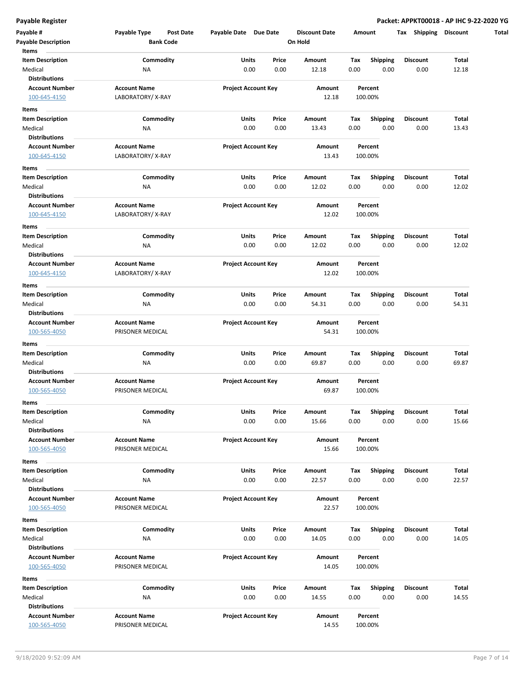| Payable #<br><b>Payable Description</b>                       | Payable Type<br>Post Date<br><b>Bank Code</b> | Payable Date Due Date      |               | <b>Discount Date</b><br>On Hold | Amount      |                         | Tax Shipping Discount   |                |
|---------------------------------------------------------------|-----------------------------------------------|----------------------------|---------------|---------------------------------|-------------|-------------------------|-------------------------|----------------|
| Items<br><b>Item Description</b><br>Medical                   | Commodity<br><b>NA</b>                        | Units<br>0.00              | Price<br>0.00 | Amount<br>12.18                 | Tax<br>0.00 | <b>Shipping</b><br>0.00 | <b>Discount</b><br>0.00 | Total<br>12.18 |
| <b>Distributions</b><br><b>Account Number</b><br>100-645-4150 | <b>Account Name</b><br>LABORATORY/X-RAY       | <b>Project Account Key</b> |               | Amount<br>12.18                 |             | Percent<br>100.00%      |                         |                |
| Items<br><b>Item Description</b>                              | Commodity                                     | Units                      | Price         | Amount                          | Tax         | <b>Shipping</b>         | Discount                | Total          |
| Medical<br><b>Distributions</b>                               | <b>NA</b>                                     | 0.00                       | 0.00          | 13.43                           | 0.00        | 0.00                    | 0.00                    | 13.43          |
| <b>Account Number</b><br>100-645-4150                         | <b>Account Name</b><br>LABORATORY/X-RAY       | <b>Project Account Key</b> |               | Amount<br>13.43                 |             | Percent<br>100.00%      |                         |                |
| Items                                                         |                                               |                            |               |                                 |             |                         |                         |                |
| <b>Item Description</b><br>Medical                            | Commodity<br><b>NA</b>                        | Units<br>0.00              | Price<br>0.00 | Amount<br>12.02                 | Тах<br>0.00 | <b>Shipping</b><br>0.00 | <b>Discount</b><br>0.00 | Total<br>12.02 |
| <b>Distributions</b>                                          |                                               |                            |               |                                 |             |                         |                         |                |
| <b>Account Number</b><br>100-645-4150                         | <b>Account Name</b><br>LABORATORY/X-RAY       | <b>Project Account Key</b> |               | Amount<br>12.02                 |             | Percent<br>100.00%      |                         |                |
| Items<br><b>Item Description</b>                              | Commodity                                     | Units                      | Price         | Amount                          | Tax         | <b>Shipping</b>         | <b>Discount</b>         | Total          |
| Medical<br><b>Distributions</b>                               | NA                                            | 0.00                       | 0.00          | 12.02                           | 0.00        | 0.00                    | 0.00                    | 12.02          |
| <b>Account Number</b><br>100-645-4150                         | <b>Account Name</b><br>LABORATORY/X-RAY       | <b>Project Account Key</b> |               | Amount<br>12.02                 |             | Percent<br>100.00%      |                         |                |
| Items                                                         |                                               |                            |               |                                 |             |                         |                         |                |
| <b>Item Description</b><br>Medical                            | Commodity<br><b>NA</b>                        | Units<br>0.00              | Price<br>0.00 | Amount<br>54.31                 | Tax<br>0.00 | <b>Shipping</b><br>0.00 | <b>Discount</b><br>0.00 | Total<br>54.31 |
| <b>Distributions</b><br><b>Account Number</b><br>100-565-4050 | <b>Account Name</b><br>PRISONER MEDICAL       | <b>Project Account Key</b> |               | Amount<br>54.31                 |             | Percent<br>100.00%      |                         |                |
| Items                                                         |                                               |                            |               |                                 |             |                         |                         |                |
| <b>Item Description</b><br>Medical                            | Commodity<br><b>NA</b>                        | Units<br>0.00              | Price<br>0.00 | Amount<br>69.87                 | Tax<br>0.00 | <b>Shipping</b><br>0.00 | <b>Discount</b><br>0.00 | Total<br>69.87 |
| <b>Distributions</b><br><b>Account Number</b>                 | <b>Account Name</b>                           | <b>Project Account Key</b> |               | Amount                          |             | Percent                 |                         |                |
| 100-565-4050                                                  | PRISONER MEDICAL                              |                            |               | 69.87                           |             | 100.00%                 |                         |                |
| Items<br>Item Description                                     | Commodity                                     | Units                      | Price         | Amount                          | Tax         | <b>Shipping</b>         | Discount                | Total          |
| Medical<br><b>Distributions</b>                               | <b>NA</b>                                     | 0.00                       | 0.00          | 15.66                           | 0.00        | 0.00                    | 0.00                    | 15.66          |
| <b>Account Number</b><br>100-565-4050                         | <b>Account Name</b><br>PRISONER MEDICAL       | <b>Project Account Key</b> |               | Amount<br>15.66                 |             | Percent<br>100.00%      |                         |                |
| Items                                                         |                                               |                            |               |                                 |             |                         |                         |                |
| <b>Item Description</b><br>Medical                            | Commodity<br><b>NA</b>                        | Units<br>0.00              | Price<br>0.00 | Amount<br>22.57                 | Tax<br>0.00 | <b>Shipping</b><br>0.00 | Discount<br>0.00        | Total<br>22.57 |
| <b>Distributions</b>                                          |                                               |                            |               |                                 |             |                         |                         |                |
| <b>Account Number</b><br>100-565-4050                         | <b>Account Name</b><br>PRISONER MEDICAL       | <b>Project Account Key</b> |               | Amount<br>22.57                 |             | Percent<br>100.00%      |                         |                |
| Items                                                         |                                               |                            |               |                                 |             |                         |                         |                |
| <b>Item Description</b><br>Medical                            | Commodity<br><b>NA</b>                        | Units<br>0.00              | Price<br>0.00 | Amount<br>14.05                 | Tax<br>0.00 | <b>Shipping</b><br>0.00 | <b>Discount</b><br>0.00 | Total<br>14.05 |
| <b>Distributions</b>                                          |                                               |                            |               |                                 |             |                         |                         |                |
| <b>Account Number</b>                                         | <b>Account Name</b>                           | <b>Project Account Key</b> |               | Amount                          |             | Percent                 |                         |                |
| 100-565-4050                                                  | PRISONER MEDICAL                              |                            |               | 14.05                           |             | 100.00%                 |                         |                |
| Items                                                         |                                               |                            |               |                                 |             |                         |                         |                |
| <b>Item Description</b>                                       | Commodity                                     | Units                      | Price         | Amount                          | Tax         | <b>Shipping</b>         | Discount                | Total          |
| Medical                                                       | <b>NA</b>                                     | 0.00                       | 0.00          | 14.55                           | 0.00        | 0.00                    | 0.00                    | 14.55          |
| <b>Distributions</b><br><b>Account Number</b>                 | <b>Account Name</b>                           | <b>Project Account Key</b> |               | Amount                          |             | Percent                 |                         |                |
| 100-565-4050                                                  | PRISONER MEDICAL                              |                            |               | 14.55                           |             | 100.00%                 |                         |                |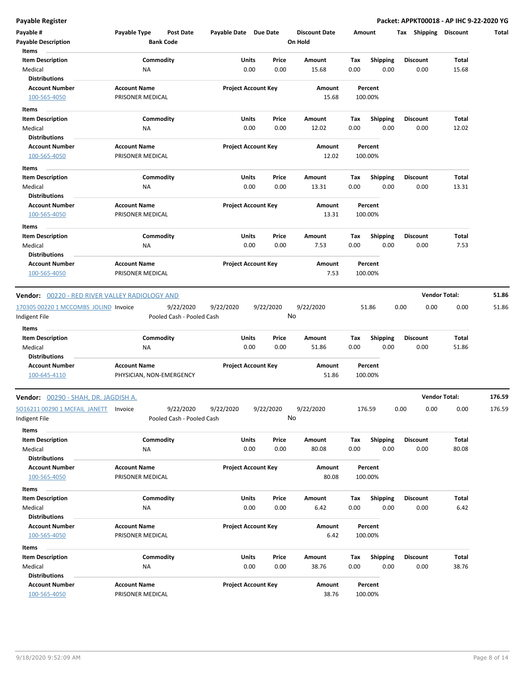| Payable #<br><b>Payable Description</b><br>Items                | Payable Type        | <b>Post Date</b><br><b>Bank Code</b>   | Payable Date Due Date |                            | <b>Discount Date</b><br>On Hold |             | Amount                  | Tax Shipping            | Discount             | Total  |
|-----------------------------------------------------------------|---------------------|----------------------------------------|-----------------------|----------------------------|---------------------------------|-------------|-------------------------|-------------------------|----------------------|--------|
| <b>Item Description</b><br>Medical                              | NA                  | Commodity                              | Units                 | Price<br>0.00<br>0.00      | Amount<br>15.68                 | Tax<br>0.00 | <b>Shipping</b><br>0.00 | <b>Discount</b><br>0.00 | Total<br>15.68       |        |
| <b>Distributions</b>                                            |                     |                                        |                       |                            |                                 |             |                         |                         |                      |        |
| <b>Account Number</b>                                           | <b>Account Name</b> |                                        |                       | <b>Project Account Key</b> | Amount                          |             | Percent                 |                         |                      |        |
| 100-565-4050                                                    | PRISONER MEDICAL    |                                        |                       |                            | 15.68                           |             | 100.00%                 |                         |                      |        |
| Items                                                           |                     |                                        |                       |                            |                                 |             |                         |                         |                      |        |
| <b>Item Description</b>                                         |                     | Commodity                              | Units                 | Price                      | Amount                          | Tax         | <b>Shipping</b>         | <b>Discount</b>         | Total                |        |
| Medical                                                         | ΝA                  |                                        |                       | 0.00<br>0.00               | 12.02                           | 0.00        | 0.00                    | 0.00                    | 12.02                |        |
| <b>Distributions</b>                                            |                     |                                        |                       |                            |                                 |             |                         |                         |                      |        |
| <b>Account Number</b>                                           | <b>Account Name</b> |                                        |                       | <b>Project Account Key</b> | Amount                          |             | Percent                 |                         |                      |        |
| 100-565-4050                                                    | PRISONER MEDICAL    |                                        |                       |                            | 12.02                           |             | 100.00%                 |                         |                      |        |
|                                                                 |                     |                                        |                       |                            |                                 |             |                         |                         |                      |        |
| Items                                                           |                     |                                        |                       |                            |                                 |             |                         |                         |                      |        |
| <b>Item Description</b>                                         |                     | Commodity                              | Units                 | Price                      | Amount                          | Тах         | <b>Shipping</b>         | <b>Discount</b>         | Total                |        |
| Medical                                                         | ΝA                  |                                        |                       | 0.00<br>0.00               | 13.31                           | 0.00        | 0.00                    | 0.00                    | 13.31                |        |
| <b>Distributions</b>                                            |                     |                                        |                       |                            |                                 |             |                         |                         |                      |        |
| <b>Account Number</b>                                           | <b>Account Name</b> |                                        |                       | <b>Project Account Key</b> | Amount                          |             | Percent                 |                         |                      |        |
| 100-565-4050                                                    | PRISONER MEDICAL    |                                        |                       |                            | 13.31                           |             | 100.00%                 |                         |                      |        |
| Items                                                           |                     |                                        |                       |                            |                                 |             |                         |                         |                      |        |
| <b>Item Description</b>                                         |                     | Commodity                              | Units                 | Price                      | Amount                          | Tax         | <b>Shipping</b>         | <b>Discount</b>         | Total                |        |
| Medical                                                         | NA                  |                                        |                       | 0.00<br>0.00               | 7.53                            | 0.00        | 0.00                    | 0.00                    | 7.53                 |        |
| <b>Distributions</b>                                            |                     |                                        |                       |                            |                                 |             |                         |                         |                      |        |
| <b>Account Number</b>                                           | <b>Account Name</b> |                                        |                       | <b>Project Account Key</b> | Amount                          |             | Percent                 |                         |                      |        |
| 100-565-4050                                                    | PRISONER MEDICAL    |                                        |                       |                            | 7.53                            |             | 100.00%                 |                         |                      |        |
| 170305 00220 1 MCCOMBS JOLIND Invoice<br>Indigent File<br>Items |                     | 9/22/2020<br>Pooled Cash - Pooled Cash | 9/22/2020             | 9/22/2020                  | 9/22/2020<br>No                 |             | 51.86                   | 0.00<br>0.00            | 0.00                 | 51.86  |
| <b>Item Description</b>                                         |                     | Commodity                              | <b>Units</b>          | Price                      | Amount                          | Tax         | <b>Shipping</b>         | <b>Discount</b>         | Total                |        |
| Medical                                                         | NA                  |                                        |                       | 0.00<br>0.00               | 51.86                           | 0.00        | 0.00                    | 0.00                    | 51.86                |        |
| <b>Distributions</b>                                            |                     |                                        |                       |                            |                                 |             |                         |                         |                      |        |
| <b>Account Number</b>                                           | <b>Account Name</b> |                                        |                       | <b>Project Account Key</b> | Amount                          |             | Percent                 |                         |                      |        |
| 100-645-4110                                                    |                     | PHYSICIAN, NON-EMERGENCY               |                       |                            | 51.86                           |             | 100.00%                 |                         |                      |        |
| Vendor: 00290 - SHAH, DR. JAGDISH A.                            |                     |                                        |                       |                            |                                 |             |                         |                         | <b>Vendor Total:</b> | 176.59 |
| SO16211 00290 1 MCFAIL JANETT Invoice<br>Indigent File          |                     | 9/22/2020<br>Pooled Cash - Pooled Cash | 9/22/2020             | 9/22/2020                  | 9/22/2020<br>No                 |             | 176.59                  | 0.00<br>0.00            | 0.00                 | 176.59 |
| Items<br><b>Item Description</b>                                |                     | Commodity                              | <b>Units</b>          | Price                      | Amount                          | Tax         | <b>Shipping</b>         | <b>Discount</b>         | Total                |        |
| Medical                                                         | NA                  |                                        |                       | 0.00<br>0.00               | 80.08                           | 0.00        | 0.00                    | 0.00                    | 80.08                |        |
| <b>Distributions</b>                                            |                     |                                        |                       |                            |                                 |             |                         |                         |                      |        |
| <b>Account Number</b>                                           | <b>Account Name</b> |                                        |                       | <b>Project Account Key</b> | Amount                          |             | Percent                 |                         |                      |        |
| 100-565-4050                                                    | PRISONER MEDICAL    |                                        |                       |                            | 80.08                           |             | 100.00%                 |                         |                      |        |
|                                                                 |                     |                                        |                       |                            |                                 |             |                         |                         |                      |        |
| Items                                                           |                     |                                        |                       |                            |                                 |             |                         |                         |                      |        |
| <b>Item Description</b>                                         |                     | Commodity                              | <b>Units</b>          | Price                      | Amount                          | Tax         | Shipping                | <b>Discount</b>         | Total                |        |
| Medical                                                         | NA                  |                                        |                       | 0.00<br>0.00               | 6.42                            | 0.00        | 0.00                    | 0.00                    | 6.42                 |        |
| <b>Distributions</b>                                            |                     |                                        |                       |                            |                                 |             |                         |                         |                      |        |
| <b>Account Number</b>                                           | <b>Account Name</b> |                                        |                       | <b>Project Account Key</b> | Amount                          |             | Percent                 |                         |                      |        |
| 100-565-4050                                                    | PRISONER MEDICAL    |                                        |                       |                            | 6.42                            |             | 100.00%                 |                         |                      |        |
| Items                                                           |                     |                                        |                       |                            |                                 |             |                         |                         |                      |        |
| <b>Item Description</b>                                         |                     | Commodity                              | <b>Units</b>          | Price                      | Amount                          | Tax         | <b>Shipping</b>         | <b>Discount</b>         | Total                |        |
| Medical                                                         | ΝA                  |                                        |                       | 0.00<br>0.00               | 38.76                           | 0.00        | 0.00                    | 0.00                    | 38.76                |        |
| <b>Distributions</b>                                            |                     |                                        |                       |                            |                                 |             |                         |                         |                      |        |
| <b>Account Number</b>                                           | <b>Account Name</b> |                                        |                       | <b>Project Account Key</b> | Amount                          |             | Percent                 |                         |                      |        |
| 100-565-4050                                                    | PRISONER MEDICAL    |                                        |                       |                            | 38.76                           |             | 100.00%                 |                         |                      |        |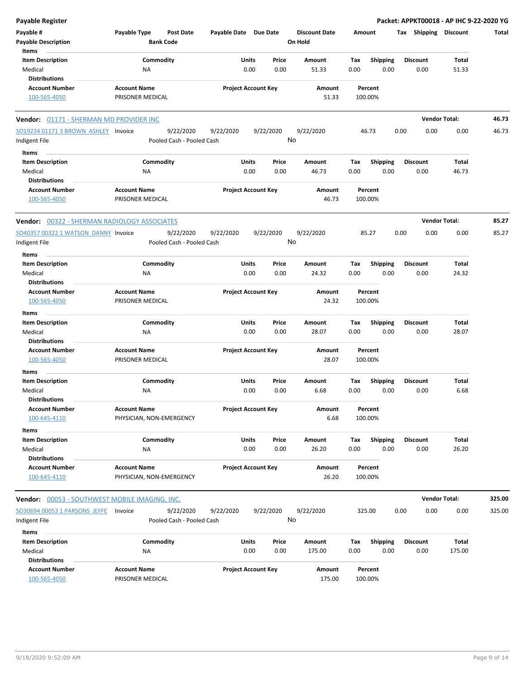| <b>Payable Register</b>                        |                                         |                                           |                            |           |                                 |        |                    |      |                      | Packet: APPKT00018 - AP IHC 9-22-2020 YG |        |
|------------------------------------------------|-----------------------------------------|-------------------------------------------|----------------------------|-----------|---------------------------------|--------|--------------------|------|----------------------|------------------------------------------|--------|
| Payable #<br><b>Payable Description</b>        | Payable Type<br><b>Bank Code</b>        | <b>Post Date</b><br>Payable Date Due Date |                            |           | <b>Discount Date</b><br>On Hold | Amount |                    |      | Tax Shipping         | Discount                                 | Total  |
| Items                                          |                                         |                                           |                            |           |                                 |        |                    |      |                      |                                          |        |
| <b>Item Description</b>                        | Commodity                               |                                           | Units                      | Price     | Amount                          | Tax    | <b>Shipping</b>    |      | <b>Discount</b>      | Total                                    |        |
| Medical<br><b>Distributions</b>                | NA                                      |                                           | 0.00                       | 0.00      | 51.33                           | 0.00   | 0.00               |      | 0.00                 | 51.33                                    |        |
| <b>Account Number</b>                          | <b>Account Name</b>                     |                                           | <b>Project Account Key</b> |           | Amount                          |        | Percent            |      |                      |                                          |        |
| 100-565-4050                                   | PRISONER MEDICAL                        |                                           |                            |           | 51.33                           |        | 100.00%            |      |                      |                                          |        |
| Vendor: 01171 - SHERMAN MD PROVIDER INC        |                                         |                                           |                            |           |                                 |        |                    |      | <b>Vendor Total:</b> |                                          | 46.73  |
| SO19234 01171 3 BROWN ASHLEY Invoice           |                                         | 9/22/2020<br>9/22/2020                    |                            | 9/22/2020 | 9/22/2020                       |        | 46.73              | 0.00 | 0.00                 | 0.00                                     | 46.73  |
| Indigent File                                  |                                         | Pooled Cash - Pooled Cash                 |                            | No        |                                 |        |                    |      |                      |                                          |        |
| Items                                          |                                         |                                           |                            |           |                                 |        |                    |      |                      |                                          |        |
| <b>Item Description</b>                        | Commodity                               |                                           | Units                      | Price     | Amount                          | Tax    | <b>Shipping</b>    |      | <b>Discount</b>      | Total                                    |        |
| Medical                                        | ΝA                                      |                                           | 0.00                       | 0.00      | 46.73                           | 0.00   | 0.00               |      | 0.00                 | 46.73                                    |        |
| <b>Distributions</b>                           |                                         |                                           |                            |           |                                 |        |                    |      |                      |                                          |        |
| <b>Account Number</b><br>100-565-4050          | <b>Account Name</b><br>PRISONER MEDICAL |                                           | <b>Project Account Key</b> |           | Amount<br>46.73                 |        | Percent<br>100.00% |      |                      |                                          |        |
| Vendor: 00322 - SHERMAN RADIOLOGY ASSOCIATES   |                                         |                                           |                            |           |                                 |        |                    |      | <b>Vendor Total:</b> |                                          | 85.27  |
| SO40357 00322 1 WATSON DANNY Invoice           |                                         | 9/22/2020<br>9/22/2020                    |                            | 9/22/2020 | 9/22/2020                       |        | 85.27              | 0.00 | 0.00                 | 0.00                                     | 85.27  |
| Indigent File                                  |                                         | Pooled Cash - Pooled Cash                 |                            | No        |                                 |        |                    |      |                      |                                          |        |
| Items                                          |                                         |                                           |                            |           |                                 |        |                    |      |                      |                                          |        |
| <b>Item Description</b>                        | Commodity                               |                                           | Units                      | Price     | Amount                          | Tax    | <b>Shipping</b>    |      | <b>Discount</b>      | Total                                    |        |
| Medical                                        | NA                                      |                                           | 0.00                       | 0.00      | 24.32                           | 0.00   | 0.00               |      | 0.00                 | 24.32                                    |        |
| <b>Distributions</b>                           |                                         |                                           |                            |           |                                 |        |                    |      |                      |                                          |        |
| <b>Account Number</b>                          | <b>Account Name</b>                     |                                           | <b>Project Account Key</b> |           | Amount                          |        | Percent            |      |                      |                                          |        |
| 100-565-4050                                   | PRISONER MEDICAL                        |                                           |                            |           | 24.32                           |        | 100.00%            |      |                      |                                          |        |
| Items                                          |                                         |                                           |                            |           |                                 |        |                    |      |                      |                                          |        |
| <b>Item Description</b>                        | Commodity                               |                                           | Units                      | Price     | Amount                          | Tax    | <b>Shipping</b>    |      | <b>Discount</b>      | Total                                    |        |
| Medical                                        | NA                                      |                                           | 0.00                       | 0.00      | 28.07                           | 0.00   | 0.00               |      | 0.00                 | 28.07                                    |        |
| <b>Distributions</b>                           |                                         |                                           |                            |           |                                 |        |                    |      |                      |                                          |        |
| <b>Account Number</b>                          | <b>Account Name</b>                     |                                           | <b>Project Account Key</b> |           | Amount                          |        | Percent            |      |                      |                                          |        |
| 100-565-4050                                   | PRISONER MEDICAL                        |                                           |                            |           | 28.07                           |        | 100.00%            |      |                      |                                          |        |
| Items                                          |                                         |                                           |                            |           |                                 |        |                    |      |                      |                                          |        |
| <b>Item Description</b>                        | Commodity                               |                                           | Units                      | Price     | <b>Amount</b>                   | Tax    | <b>Shipping</b>    |      | <b>Discount</b>      | Total                                    |        |
| Medical                                        | ΝA                                      |                                           | 0.00                       | 0.00      | 6.68                            | 0.00   | 0.00               |      | 0.00                 | 6.68                                     |        |
| <b>Distributions</b>                           |                                         |                                           |                            |           |                                 |        |                    |      |                      |                                          |        |
| <b>Account Number</b>                          | <b>Account Name</b>                     |                                           | <b>Project Account Key</b> |           | Amount                          |        | Percent            |      |                      |                                          |        |
| 100-645-4110                                   | PHYSICIAN, NON-EMERGENCY                |                                           |                            |           | 6.68                            |        | 100.00%            |      |                      |                                          |        |
| Items                                          |                                         |                                           |                            |           |                                 |        |                    |      |                      |                                          |        |
| <b>Item Description</b>                        | Commodity                               |                                           | Units                      | Price     | Amount                          | Tax    | <b>Shipping</b>    |      | <b>Discount</b>      | Total                                    |        |
| Medical                                        | NA                                      |                                           | 0.00                       | 0.00      | 26.20                           | 0.00   | 0.00               |      | 0.00                 | 26.20                                    |        |
| <b>Distributions</b><br><b>Account Number</b>  | <b>Account Name</b>                     |                                           |                            |           |                                 |        |                    |      |                      |                                          |        |
| 100-645-4110                                   | PHYSICIAN, NON-EMERGENCY                |                                           | <b>Project Account Key</b> |           | Amount<br>26.20                 |        | Percent<br>100.00% |      |                      |                                          |        |
| Vendor: 00053 - SOUTHWEST MOBILE IMAGING, INC. |                                         |                                           |                            |           |                                 |        |                    |      | <b>Vendor Total:</b> |                                          | 325.00 |
| SO30694 00053 1 PARSONS JEFFE                  | Invoice                                 | 9/22/2020<br>9/22/2020                    |                            | 9/22/2020 | 9/22/2020                       |        | 325.00             | 0.00 | 0.00                 | 0.00                                     | 325.00 |
| Indigent File                                  |                                         | Pooled Cash - Pooled Cash                 |                            | No        |                                 |        |                    |      |                      |                                          |        |
| Items                                          |                                         |                                           |                            |           |                                 |        |                    |      |                      |                                          |        |
| <b>Item Description</b>                        | Commodity                               |                                           | Units                      | Price     | Amount                          | Tax    | Shipping           |      | <b>Discount</b>      | Total                                    |        |
| Medical                                        | NA                                      |                                           | 0.00                       | 0.00      | 175.00                          | 0.00   | 0.00               |      | 0.00                 | 175.00                                   |        |
| <b>Distributions</b>                           |                                         |                                           |                            |           |                                 |        |                    |      |                      |                                          |        |
| <b>Account Number</b>                          | <b>Account Name</b>                     |                                           | <b>Project Account Key</b> |           | <b>Amount</b>                   |        | Percent            |      |                      |                                          |        |

**Account Number Account Name Project Account Key Amount Percent** 175.00 100.00%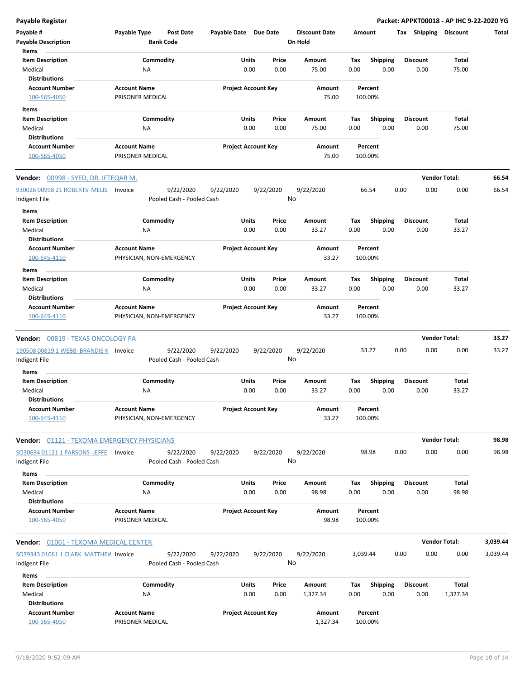**Payable Register Packet: APPKT00018 - AP IHC 9-22-2020 YG**

| Payable #                                   | Payable Type                                    | Post Date                 | Payable Date Due Date |                                       |    | <b>Discount Date</b> | Amount      |                    |      | Tax Shipping            | <b>Discount</b>      | Total    |
|---------------------------------------------|-------------------------------------------------|---------------------------|-----------------------|---------------------------------------|----|----------------------|-------------|--------------------|------|-------------------------|----------------------|----------|
| <b>Payable Description</b><br>Items         |                                                 | <b>Bank Code</b>          |                       |                                       |    | On Hold              |             |                    |      |                         |                      |          |
| <b>Item Description</b>                     |                                                 | Commodity                 |                       | Units<br>Price                        |    | Amount               | Tax         | <b>Shipping</b>    |      | <b>Discount</b>         | Total                |          |
| Medical                                     | ΝA                                              |                           |                       | 0.00<br>0.00                          |    | 75.00                | 0.00        | 0.00               |      | 0.00                    | 75.00                |          |
| <b>Distributions</b>                        |                                                 |                           |                       |                                       |    |                      |             |                    |      |                         |                      |          |
| <b>Account Number</b>                       | <b>Account Name</b>                             |                           |                       | <b>Project Account Key</b>            |    | Amount               |             | Percent            |      |                         |                      |          |
| 100-565-4050                                | PRISONER MEDICAL                                |                           |                       |                                       |    | 75.00                |             | 100.00%            |      |                         |                      |          |
| Items                                       |                                                 |                           |                       |                                       |    |                      |             |                    |      |                         |                      |          |
| <b>Item Description</b>                     |                                                 | Commodity                 |                       | Units<br>Price                        |    | Amount               | Tax         | Shipping           |      | <b>Discount</b>         | Total                |          |
| Medical                                     | ΝA                                              |                           |                       | 0.00<br>0.00                          |    | 75.00                | 0.00        | 0.00               |      | 0.00                    | 75.00                |          |
| <b>Distributions</b>                        |                                                 |                           |                       |                                       |    |                      |             |                    |      |                         |                      |          |
| <b>Account Number</b>                       | <b>Account Name</b>                             |                           |                       | <b>Project Account Key</b>            |    | Amount               |             | Percent            |      |                         |                      |          |
| 100-565-4050                                | PRISONER MEDICAL                                |                           |                       |                                       |    | 75.00                |             | 100.00%            |      |                         |                      |          |
| <b>Vendor:</b> 00998 - SYED, DR. IFTEQAR M. |                                                 |                           |                       |                                       |    |                      |             |                    |      |                         | <b>Vendor Total:</b> | 66.54    |
| 930026 00998 21 ROBERTS MELIS               |                                                 | 9/22/2020                 |                       |                                       |    |                      |             | 66.54              | 0.00 | 0.00                    | 0.00                 | 66.54    |
| Indigent File                               | Invoice                                         | Pooled Cash - Pooled Cash | 9/22/2020             | 9/22/2020                             | No | 9/22/2020            |             |                    |      |                         |                      |          |
| Items                                       |                                                 |                           |                       |                                       |    |                      |             |                    |      |                         |                      |          |
| <b>Item Description</b><br>Medical          | NA                                              | Commodity                 |                       | <b>Units</b><br>Price<br>0.00<br>0.00 |    | Amount<br>33.27      | Tax<br>0.00 | Shipping<br>0.00   |      | <b>Discount</b><br>0.00 | Total<br>33.27       |          |
| <b>Distributions</b>                        |                                                 |                           |                       |                                       |    |                      |             |                    |      |                         |                      |          |
| <b>Account Number</b><br>100-645-4110       | <b>Account Name</b><br>PHYSICIAN, NON-EMERGENCY |                           |                       | <b>Project Account Key</b>            |    | Amount<br>33.27      |             | Percent<br>100.00% |      |                         |                      |          |
| Items                                       |                                                 |                           |                       |                                       |    |                      |             |                    |      |                         |                      |          |
| <b>Item Description</b>                     |                                                 | Commodity                 |                       | Units<br>Price                        |    | Amount               | Tax         | <b>Shipping</b>    |      | <b>Discount</b>         | Total                |          |
| Medical                                     | NA                                              |                           |                       | 0.00<br>0.00                          |    | 33.27                | 0.00        | 0.00               |      | 0.00                    | 33.27                |          |
| <b>Distributions</b>                        |                                                 |                           |                       |                                       |    |                      |             |                    |      |                         |                      |          |
| <b>Account Number</b><br>100-645-4110       | <b>Account Name</b><br>PHYSICIAN, NON-EMERGENCY |                           |                       | <b>Project Account Key</b>            |    | Amount<br>33.27      |             | Percent<br>100.00% |      |                         |                      |          |
| <b>Vendor: 00819 - TEXAS ONCOLOGY PA</b>    |                                                 |                           |                       |                                       |    |                      |             |                    |      | <b>Vendor Total:</b>    |                      | 33.27    |
| 190508 00819 1 WEBB BRANDIE K Invoice       |                                                 | 9/22/2020                 | 9/22/2020             | 9/22/2020                             |    | 9/22/2020            |             | 33.27              | 0.00 | 0.00                    | 0.00                 | 33.27    |
| Indigent File                               |                                                 | Pooled Cash - Pooled Cash |                       |                                       | No |                      |             |                    |      |                         |                      |          |
| Items                                       |                                                 |                           |                       |                                       |    |                      |             |                    |      |                         |                      |          |
| <b>Item Description</b>                     |                                                 | Commodity                 |                       | Units<br>Price                        |    | Amount               | Tax         | <b>Shipping</b>    |      | <b>Discount</b>         | Total                |          |
| Medical                                     | ΝA                                              |                           |                       | 0.00<br>0.00                          |    | 33.27                | 0.00        | 0.00               |      | 0.00                    | 33.27                |          |
| <b>Distributions</b>                        |                                                 |                           |                       |                                       |    |                      |             |                    |      |                         |                      |          |
| <b>Account Number</b><br>100-645-4110       | <b>Account Name</b><br>PHYSICIAN, NON-EMERGENCY |                           |                       | <b>Project Account Key</b>            |    | Amount<br>33.27      |             | Percent<br>100.00% |      |                         |                      |          |
| Vendor: 01121 - TEXOMA EMERGENCY PHYSICIANS |                                                 |                           |                       |                                       |    |                      |             |                    |      |                         | <b>Vendor Total:</b> | 98.98    |
| SO30694 01121 1 PARSONS JEFFE               | Invoice                                         | 9/22/2020                 | 9/22/2020             | 9/22/2020                             |    | 9/22/2020            |             | 98.98              | 0.00 | 0.00                    | 0.00                 | 98.98    |
| Indigent File                               |                                                 | Pooled Cash - Pooled Cash |                       |                                       | No |                      |             |                    |      |                         |                      |          |
|                                             |                                                 |                           |                       |                                       |    |                      |             |                    |      |                         |                      |          |
| Items                                       |                                                 |                           |                       |                                       |    |                      |             |                    |      |                         |                      |          |
| <b>Item Description</b>                     |                                                 | Commodity                 |                       | <b>Units</b><br>Price                 |    | Amount               | Tax         | <b>Shipping</b>    |      | <b>Discount</b>         | Total                |          |
| Medical                                     | NA                                              |                           |                       | 0.00<br>0.00                          |    | 98.98                | 0.00        | 0.00               |      | 0.00                    | 98.98                |          |
| <b>Distributions</b>                        |                                                 |                           |                       |                                       |    |                      |             |                    |      |                         |                      |          |
| <b>Account Number</b><br>100-565-4050       | <b>Account Name</b><br>PRISONER MEDICAL         |                           |                       | <b>Project Account Key</b>            |    | Amount<br>98.98      |             | Percent<br>100.00% |      |                         |                      |          |
| Vendor: 01061 - TEXOMA MEDICAL CENTER       |                                                 |                           |                       |                                       |    |                      |             |                    |      |                         | <b>Vendor Total:</b> | 3,039.44 |
| SO39343 01061 1 CLARK MATTHEM Invoice       |                                                 | 9/22/2020                 | 9/22/2020             | 9/22/2020                             |    | 9/22/2020            | 3,039.44    |                    | 0.00 | 0.00                    | 0.00                 | 3,039.44 |
| Indigent File                               |                                                 | Pooled Cash - Pooled Cash |                       |                                       | No |                      |             |                    |      |                         |                      |          |
| Items                                       |                                                 |                           |                       |                                       |    |                      |             |                    |      |                         |                      |          |
| <b>Item Description</b>                     |                                                 | Commodity                 |                       | <b>Units</b><br>Price                 |    | Amount               | Тах         | <b>Shipping</b>    |      | <b>Discount</b>         | <b>Total</b>         |          |
| Medical                                     | ΝA                                              |                           |                       | 0.00<br>0.00                          |    | 1,327.34             | 0.00        | 0.00               |      | 0.00                    | 1,327.34             |          |
| <b>Distributions</b>                        |                                                 |                           |                       |                                       |    |                      |             |                    |      |                         |                      |          |
| <b>Account Number</b><br>100-565-4050       | <b>Account Name</b><br>PRISONER MEDICAL         |                           |                       | <b>Project Account Key</b>            |    | Amount<br>1,327.34   |             | Percent<br>100.00% |      |                         |                      |          |
|                                             |                                                 |                           |                       |                                       |    |                      |             |                    |      |                         |                      |          |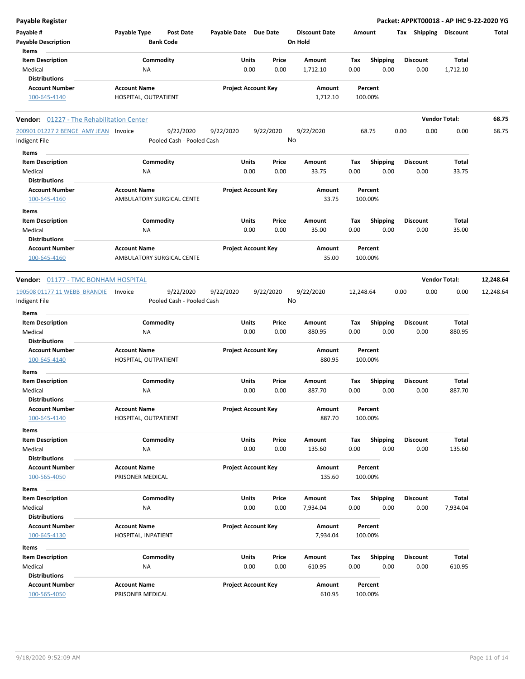|  |  | <b>Payable Register</b> |
|--|--|-------------------------|

| Payable #<br><b>Payable Description</b><br>Items           | Payable Type                                | <b>Post Date</b><br><b>Bank Code</b> | Payable Date Due Date      |                            | <b>Discount Date</b><br>On Hold |                    | Amount             | Tax Shipping Discount   |                      |                          | Total     |
|------------------------------------------------------------|---------------------------------------------|--------------------------------------|----------------------------|----------------------------|---------------------------------|--------------------|--------------------|-------------------------|----------------------|--------------------------|-----------|
| <b>Item Description</b><br>Medical<br><b>Distributions</b> | ΝA                                          | Commodity                            | Units                      | Price<br>0.00<br>0.00      | Amount<br>1,712.10              | Tax<br>0.00        | Shipping<br>0.00   | <b>Discount</b><br>0.00 |                      | <b>Total</b><br>1,712.10 |           |
| <b>Account Number</b><br>100-645-4140                      | <b>Account Name</b><br>HOSPITAL, OUTPATIENT |                                      |                            | <b>Project Account Key</b> | Amount<br>1,712.10              |                    | Percent<br>100.00% |                         |                      |                          |           |
| <b>Vendor:</b> 01227 - The Rehabilitation Center           |                                             |                                      |                            |                            |                                 |                    |                    |                         | <b>Vendor Total:</b> |                          | 68.75     |
| 200901 01227 2 BENGE AMY JEAN Invoice                      |                                             | 9/22/2020                            | 9/22/2020                  | 9/22/2020                  | 9/22/2020                       |                    | 68.75              | 0.00                    | 0.00                 | 0.00                     | 68.75     |
| Indigent File                                              |                                             | Pooled Cash - Pooled Cash            |                            |                            | No                              |                    |                    |                         |                      |                          |           |
| Items                                                      |                                             |                                      |                            |                            |                                 |                    |                    |                         |                      |                          |           |
| <b>Item Description</b>                                    |                                             | Commodity                            | Units                      | Price                      | Amount                          | Tax                | Shipping           | <b>Discount</b>         |                      | Total                    |           |
| Medical                                                    | ΝA                                          |                                      |                            | 0.00<br>0.00               | 33.75                           | 0.00               | 0.00               | 0.00                    |                      | 33.75                    |           |
| <b>Distributions</b>                                       |                                             |                                      |                            |                            |                                 |                    |                    |                         |                      |                          |           |
| <b>Account Number</b>                                      | <b>Account Name</b>                         |                                      |                            | <b>Project Account Key</b> | Amount                          |                    | Percent            |                         |                      |                          |           |
| 100-645-4160                                               |                                             | <b>AMBULATORY SURGICAL CENTE</b>     |                            |                            | 33.75                           |                    | 100.00%            |                         |                      |                          |           |
| Items                                                      |                                             |                                      |                            |                            |                                 |                    |                    |                         |                      |                          |           |
| <b>Item Description</b>                                    |                                             | Commodity                            | Units                      | Price                      | Amount                          | Tax                | <b>Shipping</b>    | <b>Discount</b>         |                      | <b>Total</b>             |           |
| Medical                                                    | ΝA                                          |                                      |                            | 0.00<br>0.00               | 35.00                           | 0.00               | 0.00               | 0.00                    |                      | 35.00                    |           |
| <b>Distributions</b>                                       |                                             |                                      |                            |                            |                                 |                    |                    |                         |                      |                          |           |
| <b>Account Number</b>                                      | <b>Account Name</b>                         |                                      |                            | <b>Project Account Key</b> | Amount                          |                    | Percent            |                         |                      |                          |           |
| 100-645-4160                                               |                                             | AMBULATORY SURGICAL CENTE            |                            |                            | 35.00                           |                    | 100.00%            |                         |                      |                          |           |
| Vendor: 01177 - TMC BONHAM HOSPITAL                        |                                             |                                      |                            |                            |                                 |                    |                    |                         | <b>Vendor Total:</b> |                          | 12,248.64 |
|                                                            |                                             |                                      |                            |                            |                                 |                    |                    |                         |                      |                          |           |
| 190508 01177 11 WEBB BRANDIE                               | Invoice                                     | 9/22/2020                            | 9/22/2020                  | 9/22/2020                  | 9/22/2020                       | 12,248.64          |                    | 0.00                    | 0.00                 | 0.00                     | 12,248.64 |
| Indigent File                                              |                                             | Pooled Cash - Pooled Cash            |                            |                            | No                              |                    |                    |                         |                      |                          |           |
| Items                                                      |                                             |                                      |                            |                            |                                 |                    |                    |                         |                      |                          |           |
| <b>Item Description</b>                                    |                                             | Commodity                            | Units                      | Price                      | Amount                          | Tax                | <b>Shipping</b>    | <b>Discount</b>         |                      | <b>Total</b>             |           |
| Medical                                                    | ΝA                                          |                                      |                            | 0.00<br>0.00               | 880.95                          | 0.00               | 0.00               | 0.00                    |                      | 880.95                   |           |
| <b>Distributions</b>                                       |                                             |                                      |                            |                            |                                 |                    |                    |                         |                      |                          |           |
| <b>Account Number</b><br>100-645-4140                      | <b>Account Name</b><br>HOSPITAL, OUTPATIENT |                                      | <b>Project Account Key</b> |                            | Amount<br>880.95                | Percent<br>100.00% |                    |                         |                      |                          |           |
| Items                                                      |                                             |                                      |                            |                            |                                 |                    |                    |                         |                      |                          |           |
| <b>Item Description</b>                                    |                                             | Commodity                            | Units                      | Price                      | Amount                          | Tax                | Shipping           | <b>Discount</b>         |                      | Total                    |           |
| Medical                                                    | <b>NA</b>                                   |                                      |                            | 0.00<br>0.00               | 887.70                          | 0.00               | 0.00               | 0.00                    |                      | 887.70                   |           |
| <b>Distributions</b>                                       |                                             |                                      |                            |                            |                                 |                    |                    |                         |                      |                          |           |
| <b>Account Number</b>                                      | <b>Account Name</b>                         |                                      |                            | <b>Project Account Key</b> | Amount                          |                    | Percent            |                         |                      |                          |           |
| 100-645-4140                                               | HOSPITAL, OUTPATIENT                        |                                      |                            |                            | 887.70                          |                    | 100.00%            |                         |                      |                          |           |
| Items                                                      |                                             |                                      |                            |                            |                                 |                    |                    |                         |                      |                          |           |
| <b>Item Description</b>                                    |                                             | Commodity                            | Units                      | Price                      | Amount                          | Тах                | Shipping           | <b>Discount</b>         |                      | Total                    |           |
| Medical                                                    | NA                                          |                                      |                            | 0.00<br>0.00               | 135.60                          | 0.00               | 0.00               | 0.00                    |                      | 135.60                   |           |
| <b>Distributions</b>                                       |                                             |                                      |                            |                            |                                 |                    |                    |                         |                      |                          |           |
| <b>Account Number</b>                                      | <b>Account Name</b>                         |                                      |                            | <b>Project Account Key</b> | Amount                          |                    | Percent            |                         |                      |                          |           |
| 100-565-4050                                               | PRISONER MEDICAL                            |                                      |                            |                            | 135.60                          |                    | 100.00%            |                         |                      |                          |           |
| Items                                                      |                                             |                                      |                            |                            |                                 |                    |                    |                         |                      |                          |           |
| <b>Item Description</b>                                    |                                             | Commodity                            | Units                      | Price                      | Amount                          | Tax                | <b>Shipping</b>    | <b>Discount</b>         |                      | Total                    |           |
| Medical                                                    | NA                                          |                                      |                            | 0.00<br>0.00               | 7,934.04                        | 0.00               | 0.00               | 0.00                    |                      | 7,934.04                 |           |
| <b>Distributions</b>                                       |                                             |                                      |                            |                            |                                 |                    |                    |                         |                      |                          |           |
| <b>Account Number</b>                                      | <b>Account Name</b>                         |                                      |                            | <b>Project Account Key</b> | Amount                          |                    | Percent            |                         |                      |                          |           |
| 100-645-4130                                               | HOSPITAL, INPATIENT                         |                                      |                            |                            | 7,934.04                        |                    | 100.00%            |                         |                      |                          |           |
|                                                            |                                             |                                      |                            |                            |                                 |                    |                    |                         |                      |                          |           |
| Items                                                      |                                             |                                      |                            |                            |                                 |                    |                    |                         |                      |                          |           |
| <b>Item Description</b>                                    |                                             | Commodity                            | Units                      | Price                      | Amount                          | Tax                | Shipping           | Discount                |                      | Total                    |           |
| Medical                                                    | <b>NA</b>                                   |                                      |                            | 0.00<br>0.00               | 610.95                          | 0.00               | 0.00               | 0.00                    |                      | 610.95                   |           |
| <b>Distributions</b>                                       |                                             |                                      |                            |                            |                                 |                    |                    |                         |                      |                          |           |
| <b>Account Number</b>                                      | <b>Account Name</b>                         |                                      |                            | <b>Project Account Key</b> | Amount                          |                    | Percent            |                         |                      |                          |           |
| 100-565-4050                                               | PRISONER MEDICAL                            |                                      |                            |                            | 610.95                          |                    | 100.00%            |                         |                      |                          |           |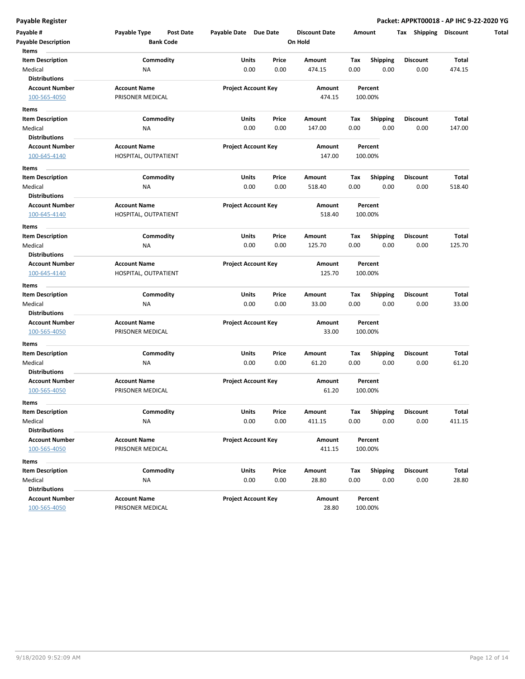| Payable #<br><b>Payable Description</b>                  | Payable Type<br>Post Date<br><b>Bank Code</b> | Payable Date Due Date      |       | <b>Discount Date</b><br>Amount<br>On Hold |      | Shipping<br>Tax         | <b>Discount</b> |                 |
|----------------------------------------------------------|-----------------------------------------------|----------------------------|-------|-------------------------------------------|------|-------------------------|-----------------|-----------------|
| Items                                                    |                                               |                            |       |                                           |      |                         |                 |                 |
| <b>Item Description</b>                                  | Commodity                                     | Units                      | Price | Amount                                    | Tax  | <b>Shipping</b>         | <b>Discount</b> | Total           |
| Medical<br><b>Distributions</b>                          | ΝA                                            | 0.00                       | 0.00  | 474.15                                    | 0.00 | 0.00                    | 0.00            | 474.15          |
| <b>Account Number</b>                                    | <b>Account Name</b>                           | <b>Project Account Key</b> |       | Amount                                    |      | Percent                 |                 |                 |
| 100-565-4050                                             | PRISONER MEDICAL                              |                            |       | 474.15                                    |      | 100.00%                 |                 |                 |
| Items                                                    |                                               |                            |       |                                           |      |                         |                 |                 |
| <b>Item Description</b>                                  | Commodity                                     | Units                      | Price | Amount                                    | Tax  | <b>Shipping</b>         | <b>Discount</b> | Total           |
| Medical                                                  | ΝA                                            | 0.00                       | 0.00  | 147.00                                    | 0.00 | 0.00                    | 0.00            | 147.00          |
| <b>Distributions</b>                                     |                                               |                            |       |                                           |      |                         |                 |                 |
| <b>Account Number</b>                                    | <b>Account Name</b>                           | <b>Project Account Key</b> |       | Amount                                    |      | Percent                 |                 |                 |
| 100-645-4140                                             | HOSPITAL, OUTPATIENT                          |                            |       | 147.00                                    |      | 100.00%                 |                 |                 |
|                                                          |                                               |                            |       |                                           |      |                         |                 |                 |
| Items                                                    |                                               |                            |       |                                           |      |                         |                 |                 |
| <b>Item Description</b><br>Medical                       | Commodity                                     | Units<br>0.00              | Price | Amount                                    | Тах  | <b>Shipping</b><br>0.00 | <b>Discount</b> | Total<br>518.40 |
| <b>Distributions</b>                                     | ΝA                                            |                            | 0.00  | 518.40                                    | 0.00 |                         | 0.00            |                 |
| <b>Account Number</b>                                    | <b>Account Name</b>                           | <b>Project Account Key</b> |       | Amount                                    |      | Percent                 |                 |                 |
| 100-645-4140                                             | HOSPITAL, OUTPATIENT                          |                            |       | 518.40                                    |      | 100.00%                 |                 |                 |
|                                                          |                                               |                            |       |                                           |      |                         |                 |                 |
| Items                                                    |                                               |                            |       |                                           |      |                         |                 |                 |
| <b>Item Description</b>                                  | Commodity                                     | Units                      | Price | Amount                                    | Tax  | <b>Shipping</b>         | Discount        | Total           |
| Medical                                                  | NA                                            | 0.00                       | 0.00  | 125.70                                    | 0.00 | 0.00                    | 0.00            | 125.70          |
| <b>Distributions</b>                                     |                                               |                            |       |                                           |      |                         |                 |                 |
| <b>Account Number</b>                                    | <b>Account Name</b>                           | <b>Project Account Key</b> |       | Amount                                    |      | Percent                 |                 |                 |
| 100-645-4140                                             | HOSPITAL, OUTPATIENT                          |                            |       | 125.70                                    |      | 100.00%                 |                 |                 |
| Items                                                    |                                               |                            |       |                                           |      |                         |                 |                 |
| <b>Item Description</b>                                  | Commodity                                     | Units                      | Price | Amount                                    | Tax  | <b>Shipping</b>         | <b>Discount</b> | Total           |
| Medical                                                  | ΝA                                            | 0.00                       | 0.00  | 33.00                                     | 0.00 | 0.00                    | 0.00            | 33.00           |
| <b>Distributions</b>                                     |                                               |                            |       |                                           |      |                         |                 |                 |
| <b>Account Number</b>                                    | <b>Account Name</b>                           | <b>Project Account Key</b> |       | Amount                                    |      | Percent                 |                 |                 |
| 100-565-4050                                             | PRISONER MEDICAL                              |                            |       | 33.00                                     |      | 100.00%                 |                 |                 |
| Items                                                    |                                               |                            |       |                                           |      |                         |                 |                 |
| <b>Item Description</b>                                  | Commodity                                     | Units                      | Price | Amount                                    | Тах  | <b>Shipping</b>         | <b>Discount</b> | Total           |
| Medical                                                  | <b>NA</b>                                     | 0.00                       | 0.00  | 61.20                                     | 0.00 | 0.00                    | 0.00            | 61.20           |
| <b>Distributions</b>                                     |                                               |                            |       |                                           |      |                         |                 |                 |
| <b>Account Number</b>                                    | <b>Account Name</b>                           | <b>Project Account Key</b> |       | Amount<br>Percent                         |      |                         |                 |                 |
| 100-565-4050                                             | PRISONER MEDICAL                              |                            |       | 61.20                                     |      | 100.00%                 |                 |                 |
| Items                                                    |                                               |                            |       |                                           |      |                         |                 |                 |
| <b>Item Description</b>                                  | Commodity                                     | Units                      | Price | Amount                                    | Tax  | Shipping                | Discount        | <b>Total</b>    |
| Medical                                                  | <b>NA</b>                                     | 0.00                       | 0.00  | 411.15                                    | 0.00 | 0.00                    | 0.00            | 411.15          |
| <b>Distributions</b>                                     |                                               |                            |       |                                           |      |                         |                 |                 |
| <b>Account Number</b>                                    | <b>Account Name</b>                           | <b>Project Account Key</b> |       | Amount                                    |      | Percent                 |                 |                 |
| 100-565-4050                                             | PRISONER MEDICAL                              |                            |       | 411.15                                    |      | 100.00%                 |                 |                 |
| Items                                                    |                                               |                            |       |                                           |      |                         |                 |                 |
| <b>Item Description</b>                                  | Commodity                                     | Units                      | Price | Amount                                    | Tax  | <b>Shipping</b>         | <b>Discount</b> | Total           |
|                                                          | NA                                            | 0.00                       | 0.00  | 28.80                                     | 0.00 | 0.00                    | 0.00            | 28.80           |
|                                                          |                                               |                            |       |                                           |      |                         |                 |                 |
|                                                          |                                               |                            |       |                                           |      |                         |                 |                 |
| Medical<br><b>Distributions</b><br><b>Account Number</b> | <b>Account Name</b>                           | <b>Project Account Key</b> |       | Amount                                    |      | Percent                 |                 |                 |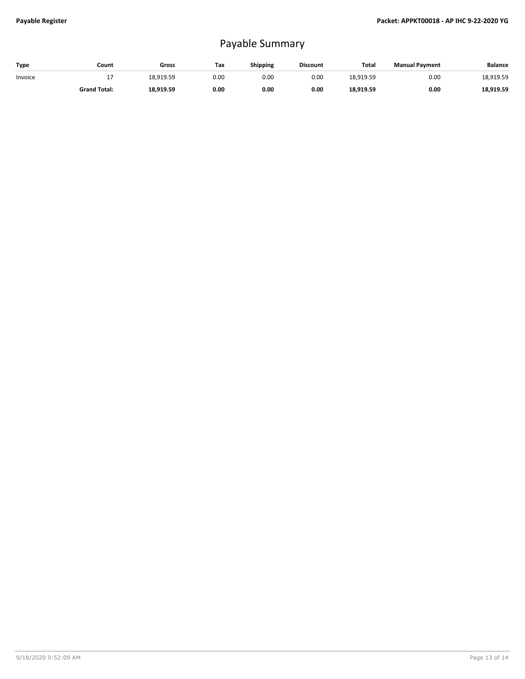## Payable Summary

| Type    | Count               | Gross     | Тах  | Shipping | <b>Discount</b> | Total     | <b>Manual Payment</b> | <b>Balance</b> |
|---------|---------------------|-----------|------|----------|-----------------|-----------|-----------------------|----------------|
| Invoice | - 1                 | 18,919.59 | 0.00 | 0.00     | 0.00            | 18.919.59 | 0.00                  | 18,919.59      |
|         | <b>Grand Total:</b> | 18,919.59 | 0.00 | 0.00     | 0.00            | 18,919.59 | 0.00                  | 18,919.59      |